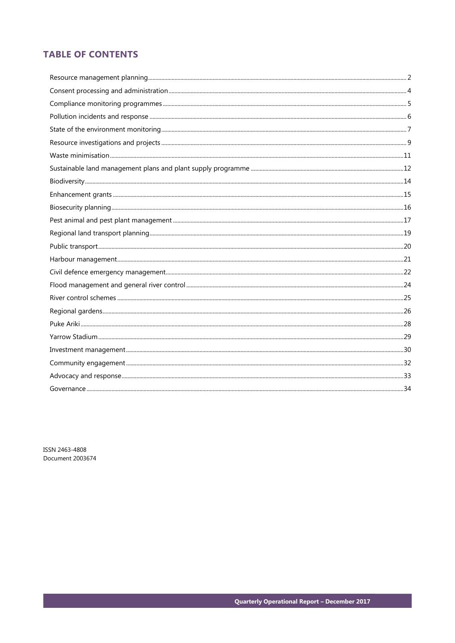# **TABLE OF CONTENTS**

ISSN 2463-4808 Document 2003674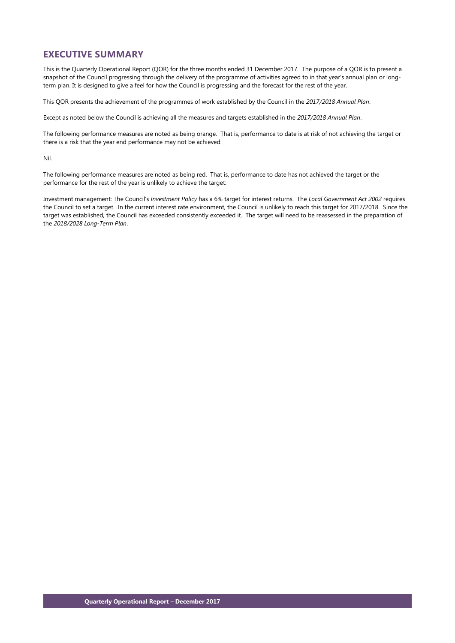# **EXECUTIVE SUMMARY**

This is the Quarterly Operational Report (QOR) for the three months ended 31 December 2017. The purpose of a QOR is to present a snapshot of the Council progressing through the delivery of the programme of activities agreed to in that year's annual plan or longterm plan. It is designed to give a feel for how the Council is progressing and the forecast for the rest of the year.

This QOR presents the achievement of the programmes of work established by the Council in the *2017/2018 Annual Plan*.

Except as noted below the Council is achieving all the measures and targets established in the *2017/2018 Annual Plan*.

The following performance measures are noted as being orange. That is, performance to date is at risk of not achieving the target or there is a risk that the year end performance may not be achieved:

Nil.

The following performance measures are noted as being red. That is, performance to date has not achieved the target or the performance for the rest of the year is unlikely to achieve the target:

Investment management: The Council's *Investment Policy* has a 6% target for interest returns. The *Local Government Act 2002* requires the Council to set a target. In the current interest rate environment, the Council is unlikely to reach this target for 2017/2018. Since the target was established, the Council has exceeded consistently exceeded it. The target will need to be reassessed in the preparation of the *2018/2028 Long-Term Plan*.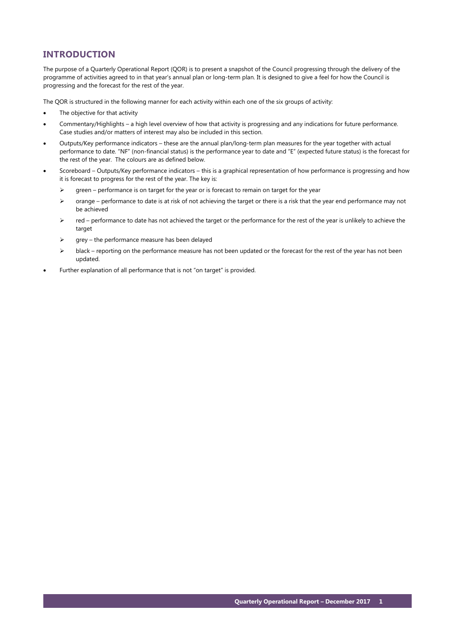# **INTRODUCTION**

The purpose of a Quarterly Operational Report (QOR) is to present a snapshot of the Council progressing through the delivery of the programme of activities agreed to in that year's annual plan or long-term plan. It is designed to give a feel for how the Council is progressing and the forecast for the rest of the year.

The QOR is structured in the following manner for each activity within each one of the six groups of activity:

- The objective for that activity
- Commentary/Highlights a high level overview of how that activity is progressing and any indications for future performance. Case studies and/or matters of interest may also be included in this section.
- Outputs/Key performance indicators these are the annual plan/long-term plan measures for the year together with actual performance to date. "NF" (non-financial status) is the performance year to date and "E" (expected future status) is the forecast for the rest of the year. The colours are as defined below.
- Scoreboard Outputs/Key performance indicators this is a graphical representation of how performance is progressing and how it is forecast to progress for the rest of the year. The key is:
	- $\triangleright$  green performance is on target for the year or is forecast to remain on target for the year
	- $\triangleright$  orange performance to date is at risk of not achieving the target or there is a risk that the year end performance may not be achieved
	- $\triangleright$  red performance to date has not achieved the target or the performance for the rest of the year is unlikely to achieve the target
	- $\triangleright$  grey the performance measure has been delayed
	- black reporting on the performance measure has not been updated or the forecast for the rest of the year has not been updated.
- Further explanation of all performance that is not "on target" is provided.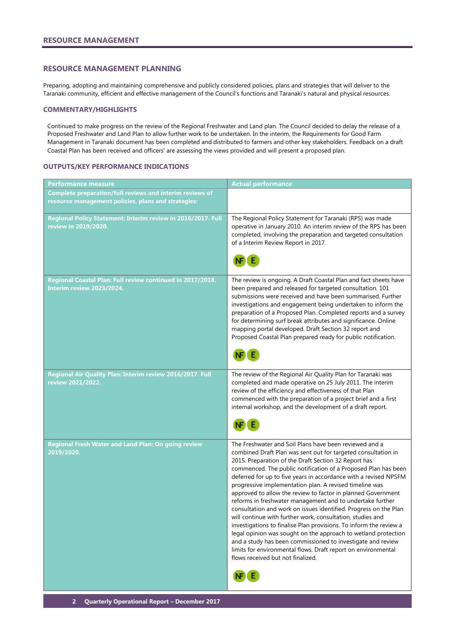#### <span id="page-3-0"></span>**RESOURCE MANAGEMENT PLANNING**

Preparing, adopting and maintaining comprehensive and publicly considered policies, plans and strategies that will deliver to the Taranaki community, efficient and effective management of the Council's functions and Taranaki's natural and physical resources.

#### **COMMENTARY/HIGHLIGHTS**

Continued to make progress on the review of the Regional Freshwater and Land plan. The Council decided to delay the release of a Proposed Freshwater and Land Plan to allow further work to be undertaken. In the interim, the Requirements for Good Farm Management in Taranaki document has been completed and distributed to farmers and other key stakeholders. Feedback on a draft Coastal Plan has been received and officers' are assessing the views provided and will present a proposed plan.

#### **OUTPUTS/KEY PERFORMANCE INDICATIONS**

| Performance measure                                                                                             | <b>Actual performance</b>                                                                                                                                                                                                                                                                                                                                                                                                                                                                                                                                                                                                                                                                                                                                                                                                                                                                                                                                    |
|-----------------------------------------------------------------------------------------------------------------|--------------------------------------------------------------------------------------------------------------------------------------------------------------------------------------------------------------------------------------------------------------------------------------------------------------------------------------------------------------------------------------------------------------------------------------------------------------------------------------------------------------------------------------------------------------------------------------------------------------------------------------------------------------------------------------------------------------------------------------------------------------------------------------------------------------------------------------------------------------------------------------------------------------------------------------------------------------|
| Complete preparation/full reviews and interim reviews of<br>resource management policies, plans and strategies: |                                                                                                                                                                                                                                                                                                                                                                                                                                                                                                                                                                                                                                                                                                                                                                                                                                                                                                                                                              |
| Regional Policy Statement: Interim review in 2016/2017. Full<br>review in 2019/2020.                            | The Regional Policy Statement for Taranaki (RPS) was made<br>operative in January 2010. An interim review of the RPS has been<br>completed, involving the preparation and targeted consultation<br>of a Interim Review Report in 2017.                                                                                                                                                                                                                                                                                                                                                                                                                                                                                                                                                                                                                                                                                                                       |
| Regional Coastal Plan: Full review continued in 2017/2018.<br>Interim review 2023/2024.                         | The review is ongoing. A Draft Coastal Plan and fact sheets have<br>been prepared and released for targeted consultation. 101<br>submissions were received and have been summarised. Further<br>investigations and engagement being undertaken to inform the<br>preparation of a Proposed Plan. Completed reports and a survey<br>for determining surf break attributes and significance. Online<br>mapping portal developed. Draft Section 32 report and<br>Proposed Coastal Plan prepared ready for public notification.                                                                                                                                                                                                                                                                                                                                                                                                                                   |
| Regional Air Quality Plan: Interim review 2016/2017. Full<br>review 2021/2022.                                  | The review of the Regional Air Quality Plan for Taranaki was<br>completed and made operative on 25 July 2011. The interim<br>review of the efficiency and effectiveness of that Plan<br>commenced with the preparation of a project brief and a first<br>internal workshop, and the development of a draft report.                                                                                                                                                                                                                                                                                                                                                                                                                                                                                                                                                                                                                                           |
| <b>Regional Fresh Water and Land Plan: On going review</b><br>2019/2020.                                        | The Freshwater and Soil Plans have been reviewed and a<br>combined Draft Plan was sent out for targeted consultation in<br>2015. Preparation of the Draft Section 32 Report has<br>commenced. The public notification of a Proposed Plan has been<br>deferred for up to five years in accordance with a revised NPSFM<br>progressive implementation plan. A revised timeline was<br>approved to allow the review to factor in planned Government<br>reforms in freshwater management and to undertake further<br>consultation and work on issues identified. Progress on the Plan<br>will continue with further work, consultation, studies and<br>investigations to finalise Plan provisions. To inform the review a<br>legal opinion was sought on the approach to wetland protection<br>and a study has been commissioned to investigate and review<br>limits for environmental flows. Draft report on environmental<br>flows received but not finalized. |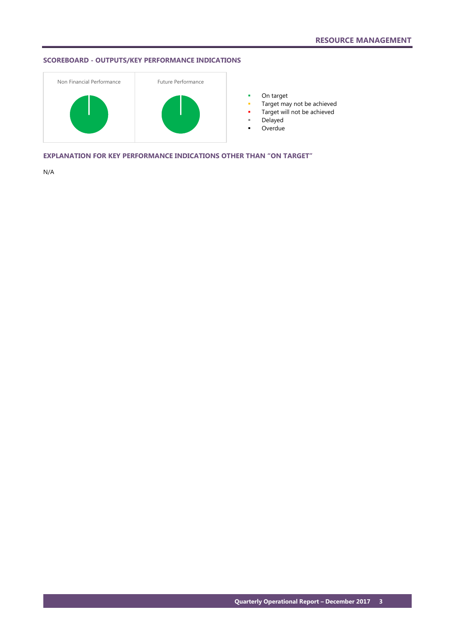# **SCOREBOARD - OUTPUTS/KEY PERFORMANCE INDICATIONS**



**•** On target

- **Target may not be achieved**
- **Target will not be achieved**
- Delayed
- Overdue

**EXPLANATION FOR KEY PERFORMANCE INDICATIONS OTHER THAN "ON TARGET"**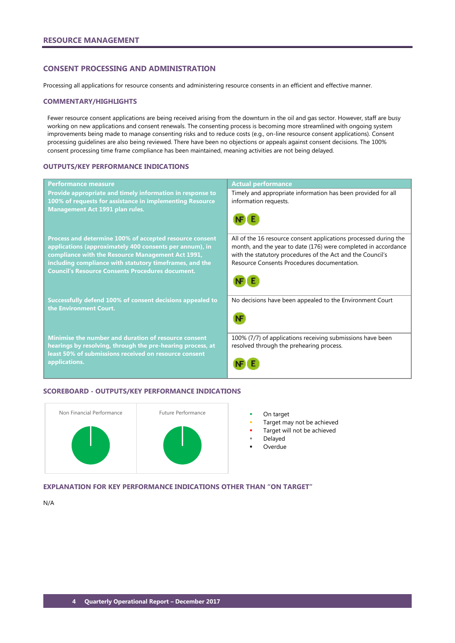# <span id="page-5-0"></span>**CONSENT PROCESSING AND ADMINISTRATION**

Processing all applications for resource consents and administering resource consents in an efficient and effective manner.

#### **COMMENTARY/HIGHLIGHTS**

Fewer resource consent applications are being received arising from the downturn in the oil and gas sector. However, staff are busy working on new applications and consent renewals. The consenting process is becoming more streamlined with ongoing system improvements being made to manage consenting risks and to reduce costs (e.g., on-line resource consent applications). Consent processing guidelines are also being reviewed. There have been no objections or appeals against consent decisions. The 100% consent processing time frame compliance has been maintained, meaning activities are not being delayed.

#### **OUTPUTS/KEY PERFORMANCE INDICATIONS**

| <b>Performance measure</b>                                                                                                                                                                                                                                                                    | <b>Actual performance</b>                                                                                                                                                                                                                       |
|-----------------------------------------------------------------------------------------------------------------------------------------------------------------------------------------------------------------------------------------------------------------------------------------------|-------------------------------------------------------------------------------------------------------------------------------------------------------------------------------------------------------------------------------------------------|
| Provide appropriate and timely information in response to<br>100% of requests for assistance in implementing Resource<br><b>Management Act 1991 plan rules.</b>                                                                                                                               | Timely and appropriate information has been provided for all<br>information requests.                                                                                                                                                           |
| Process and determine 100% of accepted resource consent<br>applications (approximately 400 consents per annum), in<br>compliance with the Resource Management Act 1991,<br>including compliance with statutory timeframes, and the<br><b>Council's Resource Consents Procedures document.</b> | All of the 16 resource consent applications processed during the<br>month, and the year to date (176) were completed in accordance<br>with the statutory procedures of the Act and the Council's<br>Resource Consents Procedures documentation. |
| Successfully defend 100% of consent decisions appealed to<br>the Environment Court.                                                                                                                                                                                                           | No decisions have been appealed to the Environment Court                                                                                                                                                                                        |
| Minimise the number and duration of resource consent<br>hearings by resolving, through the pre-hearing process, at<br>least 50% of submissions received on resource consent<br>applications.                                                                                                  | 100% (7/7) of applications receiving submissions have been<br>resolved through the prehearing process.                                                                                                                                          |

#### **SCOREBOARD - OUTPUTS/KEY PERFORMANCE INDICATIONS**



- 
- Target may not be achieved
- Target will not be achieved
- Delayed
- **Overdue**

**EXPLANATION FOR KEY PERFORMANCE INDICATIONS OTHER THAN "ON TARGET"**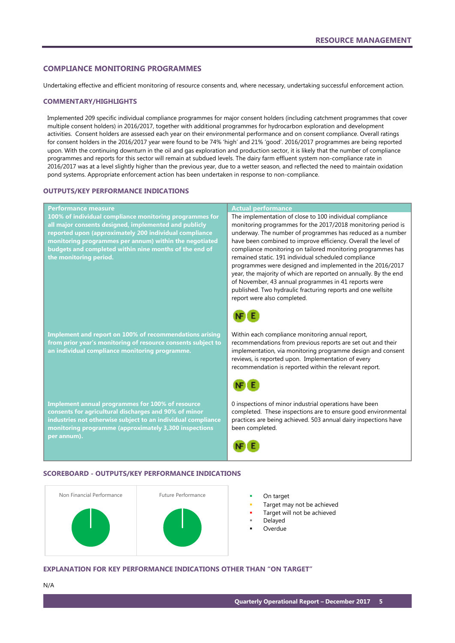#### <span id="page-6-0"></span>**COMPLIANCE MONITORING PROGRAMMES**

Undertaking effective and efficient monitoring of resource consents and, where necessary, undertaking successful enforcement action.

#### **COMMENTARY/HIGHLIGHTS**

Implemented 209 specific individual compliance programmes for major consent holders (including catchment programmes that cover multiple consent holders) in 2016/2017, together with additional programmes for hydrocarbon exploration and development activities. Consent holders are assessed each year on their environmental performance and on consent compliance. Overall ratings for consent holders in the 2016/2017 year were found to be 74% 'high' and 21% 'good'. 2016/2017 programmes are being reported upon. With the continuing downturn in the oil and gas exploration and production sector, it is likely that the number of compliance programmes and reports for this sector will remain at subdued levels. The dairy farm effluent system non-compliance rate in 2016/2017 was at a level slightly higher than the previous year, due to a wetter season, and reflected the need to maintain oxidation pond systems. Appropriate enforcement action has been undertaken in response to non-compliance.

#### **OUTPUTS/KEY PERFORMANCE INDICATIONS**

#### **Performance measure Actual performance 100% of individual compliance monitoring programmes for**  The implementation of close to 100 individual compliance **all major consents designed, implemented and publicly**  monitoring programmes for the 2017/2018 monitoring period is **reported upon (approximately 200 individual compliance**  underway. The number of programmes has reduced as a number have been combined to improve efficiency. Overall the level of **monitoring programmes per annum) within the negotiated budgets and completed within nine months of the end of**  compliance monitoring on tailored monitoring programmes has remained static. 191 individual scheduled compliance **the monitoring period.** programmes were designed and implemented in the 2016/2017 year, the majority of which are reported on annually. By the end of November, 43 annual programmes in 41 reports were published. Two hydraulic fracturing reports and one wellsite report were also completed. Within each compliance monitoring annual report, **Implement and report on 100% of recommendations arising**  recommendations from previous reports are set out and their **from prior year's monitoring of resource consents subject to**  implementation, via monitoring programme design and consent **an individual compliance monitoring programme.** reviews, is reported upon. Implementation of every recommendation is reported within the relevant report. Œ **Implement annual programmes for 100% of resource**  0 inspections of minor industrial operations have been **consents for agricultural discharges and 90% of minor**  completed. These inspections are to ensure good environmental practices are being achieved. 503 annual dairy inspections have **industries not otherwise subject to an individual compliance monitoring programme (approximately 3,300 inspections**  been completed. **per annum).** NF E

#### **SCOREBOARD - OUTPUTS/KEY PERFORMANCE INDICATIONS**



- 
- Target may not be achieved
- Target will not be achieved
- Delayed
- Overdue

#### **EXPLANATION FOR KEY PERFORMANCE INDICATIONS OTHER THAN "ON TARGET"**

N/A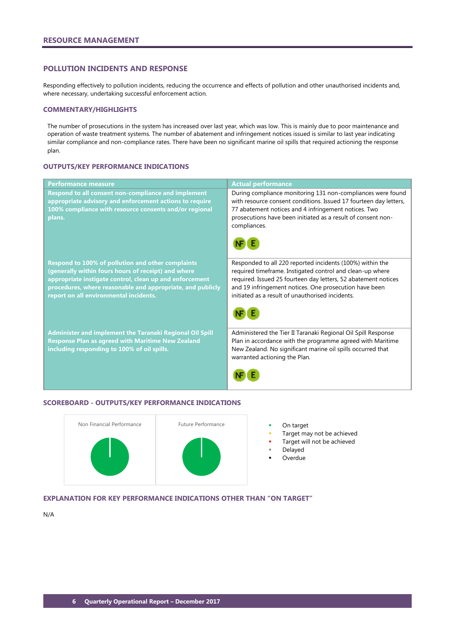#### <span id="page-7-0"></span>**POLLUTION INCIDENTS AND RESPONSE**

Responding effectively to pollution incidents, reducing the occurrence and effects of pollution and other unauthorised incidents and, where necessary, undertaking successful enforcement action.

#### **COMMENTARY/HIGHLIGHTS**

The number of prosecutions in the system has increased over last year, which was low. This is mainly due to poor maintenance and operation of waste treatment systems. The number of abatement and infringement notices issued is similar to last year indicating similar compliance and non-compliance rates. There have been no significant marine oil spills that required actioning the response plan.

#### **OUTPUTS/KEY PERFORMANCE INDICATIONS**

| <b>Performance measure</b>                                                                                                                                                                                                                                                         | <b>Actual performance</b>                                                                                                                                                                                                                                                                              |
|------------------------------------------------------------------------------------------------------------------------------------------------------------------------------------------------------------------------------------------------------------------------------------|--------------------------------------------------------------------------------------------------------------------------------------------------------------------------------------------------------------------------------------------------------------------------------------------------------|
| Respond to all consent non-compliance and implement<br>appropriate advisory and enforcement actions to require<br>100% compliance with resource consents and/or regional<br>plans.                                                                                                 | During compliance monitoring 131 non-compliances were found<br>with resource consent conditions. Issued 17 fourteen day letters,<br>77 abatement notices and 4 infringement notices. Two<br>prosecutions have been initiated as a result of consent non-<br>compliances.                               |
| <b>Respond to 100% of pollution and other complaints</b><br>(generally within fours hours of receipt) and where<br>appropriate instigate control, clean up and enforcement<br>procedures, where reasonable and appropriate, and publicly<br>report on all environmental incidents. | Responded to all 220 reported incidents (100%) within the<br>required timeframe. Instigated control and clean-up where<br>required. Issued 25 fourteen day letters, 52 abatement notices<br>and 19 infringement notices. One prosecution have been<br>initiated as a result of unauthorised incidents. |
| <b>Administer and implement the Taranaki Regional Oil Spill</b><br><b>Response Plan as agreed with Maritime New Zealand</b><br>including responding to 100% of oil spills.                                                                                                         | Administered the Tier II Taranaki Regional Oil Spill Response<br>Plan in accordance with the programme agreed with Maritime<br>New Zealand. No significant marine oil spills occurred that<br>warranted actioning the Plan.                                                                            |

#### **SCOREBOARD - OUTPUTS/KEY PERFORMANCE INDICATIONS**



- 
- Target may not be achieved
- Target will not be achieved
- Delayed
- Overdue

# **EXPLANATION FOR KEY PERFORMANCE INDICATIONS OTHER THAN "ON TARGET"**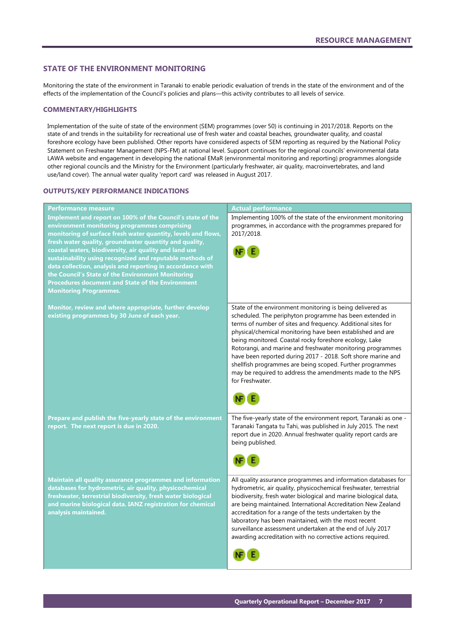#### <span id="page-8-0"></span>**STATE OF THE ENVIRONMENT MONITORING**

Monitoring the state of the environment in Taranaki to enable periodic evaluation of trends in the state of the environment and of the effects of the implementation of the Council's policies and plans—this activity contributes to all levels of service.

#### **COMMENTARY/HIGHLIGHTS**

Implementation of the suite of state of the environment (SEM) programmes (over 50) is continuing in 2017/2018. Reports on the state of and trends in the suitability for recreational use of fresh water and coastal beaches, groundwater quality, and coastal foreshore ecology have been published. Other reports have considered aspects of SEM reporting as required by the National Policy Statement on Freshwater Management (NPS-FM) at national level. Support continues for the regional councils' environmental data LAWA website and engagement in developing the national EMaR (environmental monitoring and reporting) programmes alongside other regional councils and the Ministry for the Environment (particularly freshwater, air quality, macroinvertebrates, and land use/land cover). The annual water quality 'report card' was released in August 2017.

# **OUTPUTS/KEY PERFORMANCE INDICATIONS**

| Performance measure                                           | <b>Actual performance</b>                                                    |
|---------------------------------------------------------------|------------------------------------------------------------------------------|
| Implement and report on 100% of the Council's state of the    | Implementing 100% of the state of the environment monitoring                 |
| environment monitoring programmes comprising                  | programmes, in accordance with the programmes prepared for                   |
| monitoring of surface fresh water quantity, levels and flows, | 2017/2018.                                                                   |
| fresh water quality, groundwater quantity and quality,        |                                                                              |
| coastal waters, biodiversity, air quality and land use        |                                                                              |
| sustainability using recognized and reputable methods of      |                                                                              |
| data collection, analysis and reporting in accordance with    |                                                                              |
| the Council's State of the Environment Monitoring             |                                                                              |
| <b>Procedures document and State of the Environment</b>       |                                                                              |
| <b>Monitoring Programmes.</b>                                 |                                                                              |
|                                                               |                                                                              |
| Monitor, review and where appropriate, further develop        | State of the environment monitoring is being delivered as                    |
| existing programmes by 30 June of each year.                  | scheduled. The periphyton programme has been extended in                     |
|                                                               | terms of number of sites and frequency. Additional sites for                 |
|                                                               | physical/chemical monitoring have been established and are                   |
|                                                               | being monitored. Coastal rocky foreshore ecology, Lake                       |
|                                                               | Rotorangi, and marine and freshwater monitoring programmes                   |
|                                                               | have been reported during 2017 - 2018. Soft shore marine and                 |
|                                                               | shellfish programmes are being scoped. Further programmes                    |
|                                                               | may be required to address the amendments made to the NPS<br>for Freshwater. |
|                                                               |                                                                              |
|                                                               |                                                                              |
|                                                               |                                                                              |
|                                                               |                                                                              |
| Prepare and publish the five-yearly state of the environment  | The five-yearly state of the environment report, Taranaki as one -           |
| report. The next report is due in 2020.                       | Taranaki Tangata tu Tahi, was published in July 2015. The next               |
|                                                               | report due in 2020. Annual freshwater quality report cards are               |
|                                                               | being published.                                                             |
|                                                               |                                                                              |
|                                                               |                                                                              |
|                                                               |                                                                              |
| Maintain all quality assurance programmes and information     | All quality assurance programmes and information databases for               |
| databases for hydrometric, air quality, physicochemical       | hydrometric, air quality, physicochemical freshwater, terrestrial            |
| freshwater, terrestrial biodiversity, fresh water biological  | biodiversity, fresh water biological and marine biological data,             |
| and marine biological data. IANZ registration for chemical    | are being maintained. International Accreditation New Zealand                |
| analysis maintained.                                          | accreditation for a range of the tests undertaken by the                     |
|                                                               | laboratory has been maintained, with the most recent                         |
|                                                               | surveillance assessment undertaken at the end of July 2017                   |
|                                                               | awarding accreditation with no corrective actions required.                  |
|                                                               |                                                                              |
|                                                               |                                                                              |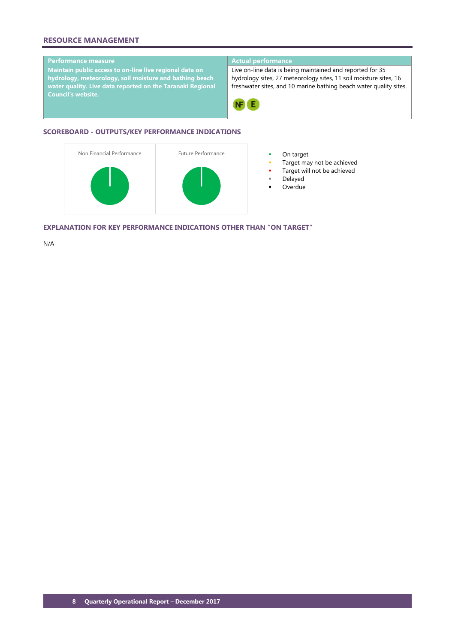# **RESOURCE MANAGEMENT**

# **Performance measure Actual performance**

**Maintain public access to on-line live regional data on hydrology, meteorology, soil moisture and bathing beach water quality. Live data reported on the Taranaki Regional Council's website.**

Live on-line data is being maintained and reported for 35 hydrology sites, 27 meteorology sites, 11 soil moisture sites, 16 freshwater sites, and 10 marine bathing beach water quality sites.



# **SCOREBOARD - OUTPUTS/KEY PERFORMANCE INDICATIONS**



- 
- Target may not be achieved
- Target will not be achieved
- Delayed
- **Overdue**

**EXPLANATION FOR KEY PERFORMANCE INDICATIONS OTHER THAN "ON TARGET"**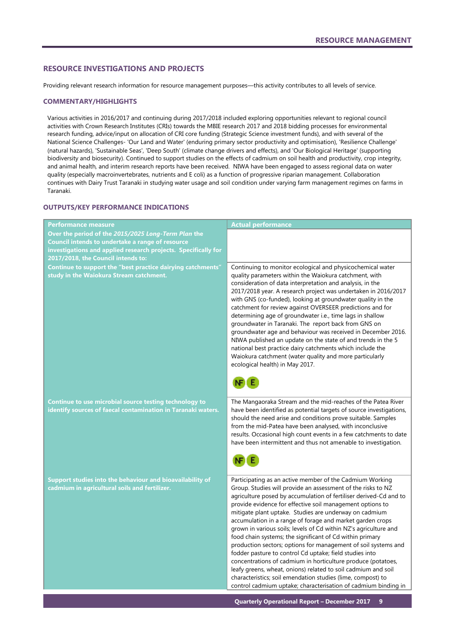### <span id="page-10-0"></span>**RESOURCE INVESTIGATIONS AND PROJECTS**

Providing relevant research information for resource management purposes—this activity contributes to all levels of service.

#### **COMMENTARY/HIGHLIGHTS**

Various activities in 2016/2017 and continuing during 2017/2018 included exploring opportunities relevant to regional council activities with Crown Research Institutes (CRIs) towards the MBIE research 2017 and 2018 bidding processes for environmental research funding, advice/input on allocation of CRI core funding (Strategic Science investment funds), and with several of the National Science Challenges- 'Our Land and Water' (enduring primary sector productivity and optimisation), 'Resilience Challenge' (natural hazards), 'Sustainable Seas', 'Deep South' (climate change drivers and effects), and 'Our Biological Heritage' (supporting biodiversity and biosecurity). Continued to support studies on the effects of cadmium on soil health and productivity, crop integrity, and animal health, and interim research reports have been received. NIWA have been engaged to assess regional data on water quality (especially macroinvertebrates, nutrients and E coli) as a function of progressive riparian management. Collaboration continues with Dairy Trust Taranaki in studying water usage and soil condition under varying farm management regimes on farms in Taranaki.

# **OUTPUTS/KEY PERFORMANCE INDICATIONS**

| <b>Performance measure</b>                                                                                             | <b>Actual performance</b>                                                                                                                                                                                                                                                                                                                                                                                                                                                                                                                                                                                                                                                                                                                                                                                                                                                                                        |
|------------------------------------------------------------------------------------------------------------------------|------------------------------------------------------------------------------------------------------------------------------------------------------------------------------------------------------------------------------------------------------------------------------------------------------------------------------------------------------------------------------------------------------------------------------------------------------------------------------------------------------------------------------------------------------------------------------------------------------------------------------------------------------------------------------------------------------------------------------------------------------------------------------------------------------------------------------------------------------------------------------------------------------------------|
| Over the period of the 2015/2025 Long-Term Plan the<br>Council intends to undertake a range of resource                |                                                                                                                                                                                                                                                                                                                                                                                                                                                                                                                                                                                                                                                                                                                                                                                                                                                                                                                  |
| investigations and applied research projects. Specifically for<br>2017/2018, the Council intends to:                   |                                                                                                                                                                                                                                                                                                                                                                                                                                                                                                                                                                                                                                                                                                                                                                                                                                                                                                                  |
| Continue to support the "best practice dairying catchments"<br>study in the Waiokura Stream catchment.                 | Continuing to monitor ecological and physicochemical water<br>quality parameters within the Waiokura catchment, with<br>consideration of data interpretation and analysis, in the<br>2017/2018 year. A research project was undertaken in 2016/2017<br>with GNS (co-funded), looking at groundwater quality in the<br>catchment for review against OVERSEER predictions and for<br>determining age of groundwater i.e., time lags in shallow<br>groundwater in Taranaki. The report back from GNS on<br>groundwater age and behaviour was received in December 2016.<br>NIWA published an update on the state of and trends in the 5<br>national best practice dairy catchments which include the<br>Waiokura catchment (water quality and more particularly<br>ecological health) in May 2017.                                                                                                                  |
| Continue to use microbial source testing technology to<br>identify sources of faecal contamination in Taranaki waters. | The Mangaoraka Stream and the mid-reaches of the Patea River<br>have been identified as potential targets of source investigations,<br>should the need arise and conditions prove suitable. Samples<br>from the mid-Patea have been analysed, with inconclusive<br>results. Occasional high count events in a few catchments to date<br>have been intermittent and thus not amenable to investigation.                                                                                                                                                                                                                                                                                                                                                                                                                                                                                                           |
| Support studies into the behaviour and bioavailability of<br>cadmium in agricultural soils and fertilizer.             | Participating as an active member of the Cadmium Working<br>Group. Studies will provide an assessment of the risks to NZ<br>agriculture posed by accumulation of fertiliser derived-Cd and to<br>provide evidence for effective soil management options to<br>mitigate plant uptake. Studies are underway on cadmium<br>accumulation in a range of forage and market garden crops<br>grown in various soils; levels of Cd within NZ's agriculture and<br>food chain systems; the significant of Cd within primary<br>production sectors; options for management of soil systems and<br>fodder pasture to control Cd uptake; field studies into<br>concentrations of cadmium in horticulture produce (potatoes,<br>leafy greens, wheat, onions) related to soil cadmium and soil<br>characteristics; soil emendation studies (lime, compost) to<br>control cadmium uptake; characterisation of cadmium binding in |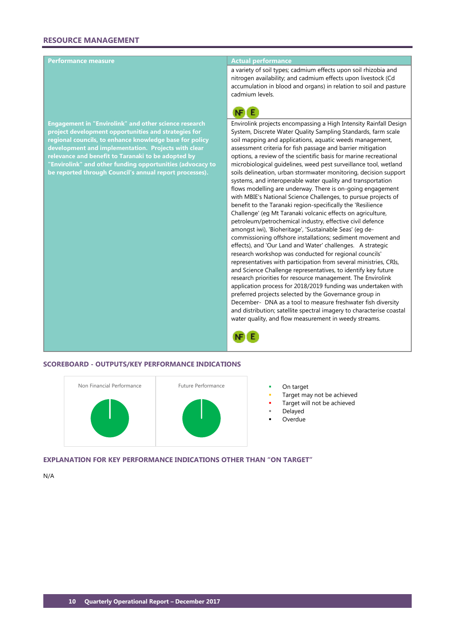#### **Performance measure Actual performance**

**Engagement in "Envirolink" and other science research project development opportunities and strategies for regional councils, to enhance knowledge base for policy development and implementation. Projects with clear relevance and benefit to Taranaki to be adopted by "Envirolink" and other funding opportunities (advocacy to be reported through Council's annual report processes).**

a variety of soil types; cadmium effects upon soil rhizobia and nitrogen availability; and cadmium effects upon livestock (Cd accumulation in blood and organs) in relation to soil and pasture cadmium levels.



Envirolink projects encompassing a High Intensity Rainfall Design System, Discrete Water Quality Sampling Standards, farm scale soil mapping and applications, aquatic weeds management, assessment criteria for fish passage and barrier mitigation options, a review of the scientific basis for marine recreational microbiological guidelines, weed pest surveillance tool, wetland soils delineation, urban stormwater monitoring, decision support systems, and interoperable water quality and transportation flows modelling are underway. There is on-going engagement with MBIE's National Science Challenges, to pursue projects of benefit to the Taranaki region-specifically the 'Resilience Challenge' (eg Mt Taranaki volcanic effects on agriculture, petroleum/petrochemical industry, effective civil defence amongst iwi), 'Bioheritage', 'Sustainable Seas' (eg decommissioning offshore installations; sediment movement and effects), and 'Our Land and Water' challenges. A strategic research workshop was conducted for regional councils' representatives with participation from several ministries, CRIs, and Science Challenge representatives, to identify key future research priorities for resource management. The Envirolink application process for 2018/2019 funding was undertaken with preferred projects selected by the Governance group in December- DNA as a tool to measure freshwater fish diversity and distribution; satellite spectral imagery to characterise coastal water quality, and flow measurement in weedy streams.



#### **SCOREBOARD - OUTPUTS/KEY PERFORMANCE INDICATIONS**



- 
- Target may not be achieved
- Target will not be achieved
- Delayed
- Overdue

**EXPLANATION FOR KEY PERFORMANCE INDICATIONS OTHER THAN "ON TARGET"**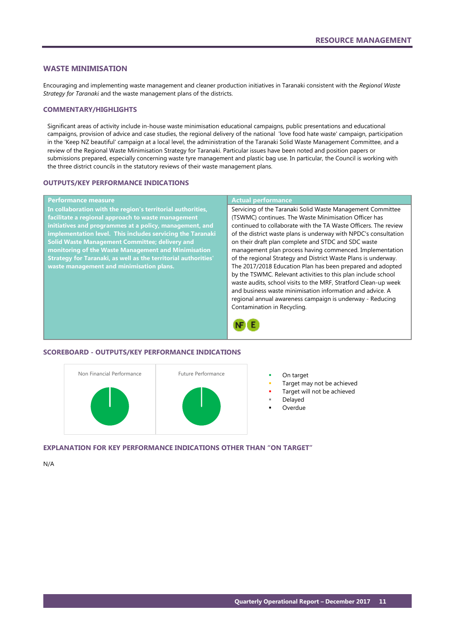#### <span id="page-12-0"></span>**WASTE MINIMISATION**

Encouraging and implementing waste management and cleaner production initiatives in Taranaki consistent with the *Regional Waste Strategy for Taranaki* and the waste management plans of the districts.

#### **COMMENTARY/HIGHLIGHTS**

Significant areas of activity include in-house waste minimisation educational campaigns, public presentations and educational campaigns, provision of advice and case studies, the regional delivery of the national 'love food hate waste' campaign, participation in the 'Keep NZ beautiful' campaign at a local level, the administration of the Taranaki Solid Waste Management Committee, and a review of the Regional Waste Minimisation Strategy for Taranaki. Particular issues have been noted and position papers or submissions prepared, especially concerning waste tyre management and plastic bag use. In particular, the Council is working with the three district councils in the statutory reviews of their waste management plans.

#### **OUTPUTS/KEY PERFORMANCE INDICATIONS**

# **Performance measure Actual performance**

**In collaboration with the region's territorial authorities, facilitate a regional approach to waste management initiatives and programmes at a policy, management, and implementation level. This includes servicing the Taranaki Solid Waste Management Committee; delivery and monitoring of the Waste Management and Minimisation Strategy for Taranaki, as well as the territorial authorities' waste management and minimisation plans.**

Servicing of the Taranaki Solid Waste Management Committee (TSWMC) continues. The Waste Minimisation Officer has continued to collaborate with the TA Waste Officers. The review of the district waste plans is underway with NPDC's consultation on their draft plan complete and STDC and SDC waste management plan process having commenced. Implementation of the regional Strategy and District Waste Plans is underway. The 2017/2018 Education Plan has been prepared and adopted by the TSWMC. Relevant activities to this plan include school waste audits, school visits to the MRF, Stratford Clean-up week and business waste minimisation information and advice. A regional annual awareness campaign is underway - Reducing Contamination in Recycling.



#### **SCOREBOARD - OUTPUTS/KEY PERFORMANCE INDICATIONS**



- 
- Target may not be achieved
- Target will not be achieved
- Delayed
- Overdue

#### **EXPLANATION FOR KEY PERFORMANCE INDICATIONS OTHER THAN "ON TARGET"**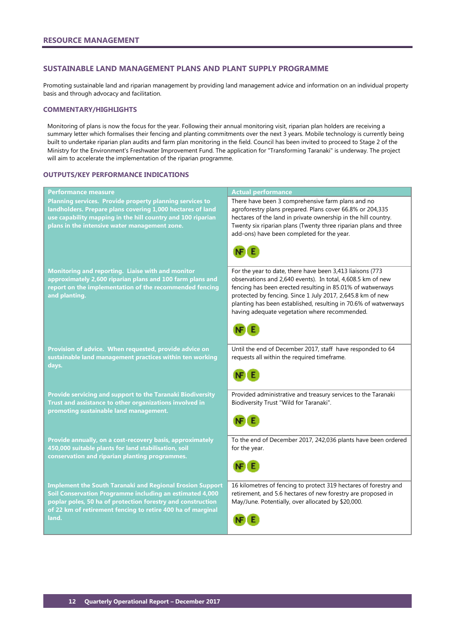### <span id="page-13-0"></span>**SUSTAINABLE LAND MANAGEMENT PLANS AND PLANT SUPPLY PROGRAMME**

Promoting sustainable land and riparian management by providing land management advice and information on an individual property basis and through advocacy and facilitation.

#### **COMMENTARY/HIGHLIGHTS**

Monitoring of plans is now the focus for the year. Following their annual monitoring visit, riparian plan holders are receiving a summary letter which formalises their fencing and planting commitments over the next 3 years. Mobile technology is currently being built to undertake riparian plan audits and farm plan monitoring in the field. Council has been invited to proceed to Stage 2 of the Ministry for the Environment's Freshwater Improvement Fund. The application for "Transforming Taranaki" is underway. The project will aim to accelerate the implementation of the riparian programme.

#### **OUTPUTS/KEY PERFORMANCE INDICATIONS**

| <b>Performance measure</b>                                                                                                                                                                                                                                          | <b>Actual performance</b>                                                                                                                                                                                                                                                                                                                                                |
|---------------------------------------------------------------------------------------------------------------------------------------------------------------------------------------------------------------------------------------------------------------------|--------------------------------------------------------------------------------------------------------------------------------------------------------------------------------------------------------------------------------------------------------------------------------------------------------------------------------------------------------------------------|
| Planning services. Provide property planning services to<br>landholders. Prepare plans covering 1,000 hectares of land<br>use capability mapping in the hill country and 100 riparian<br>plans in the intensive water management zone.                              | There have been 3 comprehensive farm plans and no<br>agroforestry plans prepared. Plans cover 66.8% or 204,335<br>hectares of the land in private ownership in the hill country.<br>Twenty six riparian plans (Twenty three riparian plans and three<br>add-ons) have been completed for the year.                                                                       |
|                                                                                                                                                                                                                                                                     |                                                                                                                                                                                                                                                                                                                                                                          |
| Monitoring and reporting. Liaise with and monitor<br>approximately 2,600 riparian plans and 100 farm plans and<br>report on the implementation of the recommended fencing<br>and planting.                                                                          | For the year to date, there have been 3,413 liaisons (773<br>observations and 2,640 events). In total, 4,608.5 km of new<br>fencing has been erected resulting in 85.01% of watwerways<br>protected by fencing. Since 1 July 2017, 2,645.8 km of new<br>planting has been established, resulting in 70.6% of watwerways<br>having adequate vegetation where recommended. |
|                                                                                                                                                                                                                                                                     |                                                                                                                                                                                                                                                                                                                                                                          |
| Provision of advice. When requested, provide advice on<br>sustainable land management practices within ten working<br>days.                                                                                                                                         | Until the end of December 2017, staff have responded to 64<br>requests all within the required timeframe.                                                                                                                                                                                                                                                                |
|                                                                                                                                                                                                                                                                     |                                                                                                                                                                                                                                                                                                                                                                          |
| Provide servicing and support to the Taranaki Biodiversity<br>Trust and assistance to other organizations involved in<br>promoting sustainable land management.                                                                                                     | Provided administrative and treasury services to the Taranaki<br>Biodiversity Trust "Wild for Taranaki".                                                                                                                                                                                                                                                                 |
|                                                                                                                                                                                                                                                                     |                                                                                                                                                                                                                                                                                                                                                                          |
| Provide annually, on a cost-recovery basis, approximately<br>450,000 suitable plants for land stabilisation, soil<br>conservation and riparian planting programmes.                                                                                                 | To the end of December 2017, 242,036 plants have been ordered<br>for the year.                                                                                                                                                                                                                                                                                           |
|                                                                                                                                                                                                                                                                     |                                                                                                                                                                                                                                                                                                                                                                          |
| <b>Implement the South Taranaki and Regional Erosion Support</b><br>Soil Conservation Programme including an estimated 4,000<br>poplar poles, 50 ha of protection forestry and construction<br>of 22 km of retirement fencing to retire 400 ha of marginal<br>land. | 16 kilometres of fencing to protect 319 hectares of forestry and<br>retirement, and 5.6 hectares of new forestry are proposed in<br>May/June. Potentially, over allocated by \$20,000.                                                                                                                                                                                   |
|                                                                                                                                                                                                                                                                     |                                                                                                                                                                                                                                                                                                                                                                          |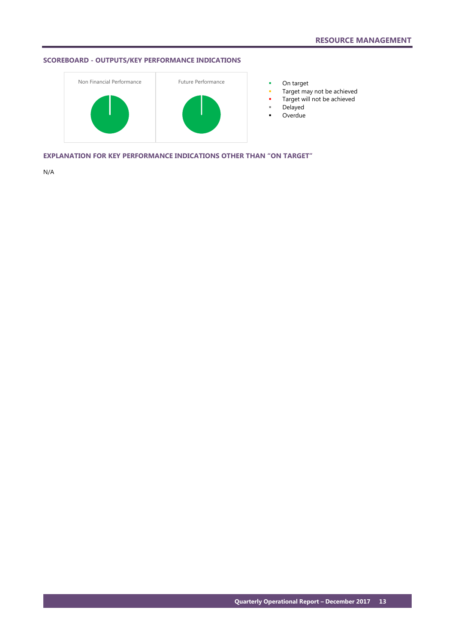# **SCOREBOARD - OUTPUTS/KEY PERFORMANCE INDICATIONS**



- 
- **Target may not be achieved**
- **Target will not be achieved**
- Delayed
- **-** Overdue

**EXPLANATION FOR KEY PERFORMANCE INDICATIONS OTHER THAN "ON TARGET"**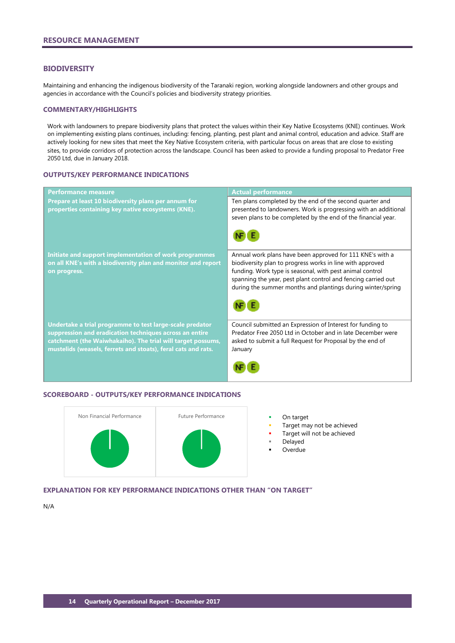#### <span id="page-15-0"></span>**BIODIVERSITY**

Maintaining and enhancing the indigenous biodiversity of the Taranaki region, working alongside landowners and other groups and agencies in accordance with the Council's policies and biodiversity strategy priorities.

#### **COMMENTARY/HIGHLIGHTS**

Work with landowners to prepare biodiversity plans that protect the values within their Key Native Ecosystems (KNE) continues. Work on implementing existing plans continues, including: fencing, planting, pest plant and animal control, education and advice. Staff are actively looking for new sites that meet the Key Native Ecosystem criteria, with particular focus on areas that are close to existing sites, to provide corridors of protection across the landscape. Council has been asked to provide a funding proposal to Predator Free 2050 Ltd, due in January 2018.

#### **OUTPUTS/KEY PERFORMANCE INDICATIONS**

| <b>Performance measure</b>                                                                                                                                                                                                                          | <b>Actual performance</b>                                                                                                                                                                                                                                                                                          |
|-----------------------------------------------------------------------------------------------------------------------------------------------------------------------------------------------------------------------------------------------------|--------------------------------------------------------------------------------------------------------------------------------------------------------------------------------------------------------------------------------------------------------------------------------------------------------------------|
| Prepare at least 10 biodiversity plans per annum for<br>properties containing key native ecosystems (KNE).                                                                                                                                          | Ten plans completed by the end of the second quarter and<br>presented to landowners. Work is progressing with an additional<br>seven plans to be completed by the end of the financial year.                                                                                                                       |
| Initiate and support implementation of work programmes<br>on all KNE's with a biodiversity plan and monitor and report<br>on progress.                                                                                                              | Annual work plans have been approved for 111 KNE's with a<br>biodiversity plan to progress works in line with approved<br>funding. Work type is seasonal, with pest animal control<br>spanning the year, pest plant control and fencing carried out<br>during the summer months and plantings during winter/spring |
| Undertake a trial programme to test large-scale predator<br>suppression and eradication techniques across an entire<br>catchment (the Waiwhakaiho). The trial will target possums,<br>mustelids (weasels, ferrets and stoats), feral cats and rats. | Council submitted an Expression of Interest for funding to<br>Predator Free 2050 Ltd in October and in late December were<br>asked to submit a full Request for Proposal by the end of<br>January                                                                                                                  |

# **SCOREBOARD - OUTPUTS/KEY PERFORMANCE INDICATIONS**



- Target may not be achieved
	- Target will not be achieved
	- Delayed
	- Overdue

# **EXPLANATION FOR KEY PERFORMANCE INDICATIONS OTHER THAN "ON TARGET"**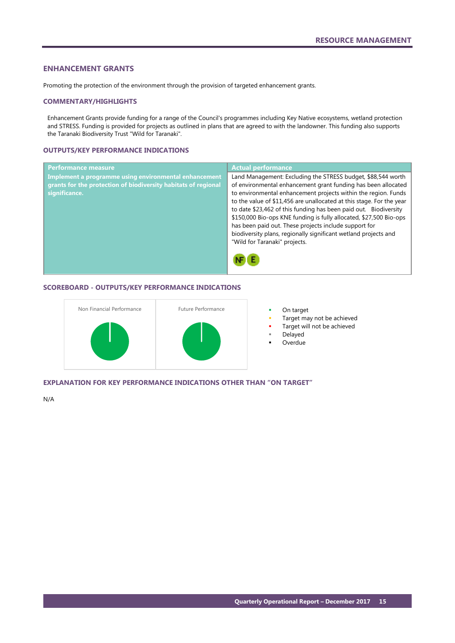## <span id="page-16-0"></span>**ENHANCEMENT GRANTS**

Promoting the protection of the environment through the provision of targeted enhancement grants.

#### **COMMENTARY/HIGHLIGHTS**

Enhancement Grants provide funding for a range of the Council's programmes including Key Native ecosystems, wetland protection and STRESS. Funding is provided for projects as outlined in plans that are agreed to with the landowner. This funding also supports the Taranaki Biodiversity Trust "Wild for Taranaki".

## **OUTPUTS/KEY PERFORMANCE INDICATIONS**

| Performance measure                                            | <b>Actual performance</b>                                            |
|----------------------------------------------------------------|----------------------------------------------------------------------|
| Implement a programme using environmental enhancement          | Land Management: Excluding the STRESS budget, \$88,544 worth         |
| grants for the protection of biodiversity habitats of regional | of environmental enhancement grant funding has been allocated        |
| significance.                                                  | to environmental enhancement projects within the region. Funds       |
|                                                                | to the value of \$11,456 are unallocated at this stage. For the year |
|                                                                | to date \$23,462 of this funding has been paid out. Biodiversity     |
|                                                                | \$150,000 Bio-ops KNE funding is fully allocated, \$27,500 Bio-ops   |
|                                                                | has been paid out. These projects include support for                |
|                                                                | biodiversity plans, regionally significant wetland projects and      |
|                                                                | "Wild for Taranaki" projects.                                        |
|                                                                |                                                                      |

# **SCOREBOARD - OUTPUTS/KEY PERFORMANCE INDICATIONS**



- Target may not be achieved
- Target will not be achieved
- Delayed
- Overdue

**EXPLANATION FOR KEY PERFORMANCE INDICATIONS OTHER THAN "ON TARGET"**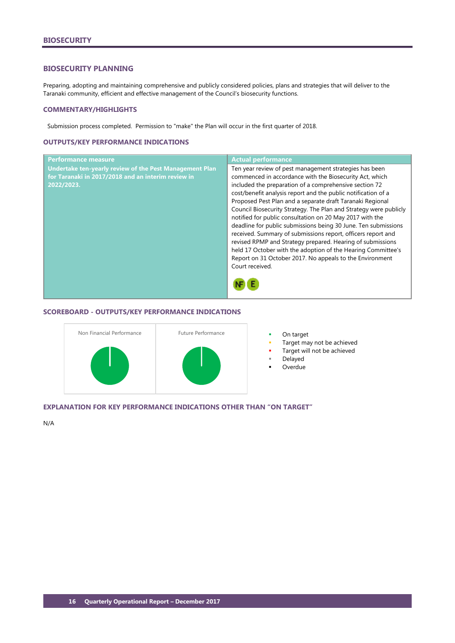#### <span id="page-17-0"></span>**BIOSECURITY PLANNING**

Preparing, adopting and maintaining comprehensive and publicly considered policies, plans and strategies that will deliver to the Taranaki community, efficient and effective management of the Council's biosecurity functions.

#### **COMMENTARY/HIGHLIGHTS**

Submission process completed. Permission to "make" the Plan will occur in the first quarter of 2018.

# **OUTPUTS/KEY PERFORMANCE INDICATIONS**

| <b>Performance measure</b>                              | <b>Actual performance</b>                                         |
|---------------------------------------------------------|-------------------------------------------------------------------|
| Undertake ten-yearly review of the Pest Management Plan | Ten year review of pest management strategies has been            |
| for Taranaki in 2017/2018 and an interim review in      | commenced in accordance with the Biosecurity Act, which           |
| 2022/2023.                                              | included the preparation of a comprehensive section 72            |
|                                                         | cost/benefit analysis report and the public notification of a     |
|                                                         | Proposed Pest Plan and a separate draft Taranaki Regional         |
|                                                         | Council Biosecurity Strategy. The Plan and Strategy were publicly |
|                                                         | notified for public consultation on 20 May 2017 with the          |
|                                                         | deadline for public submissions being 30 June. Ten submissions    |
|                                                         | received. Summary of submissions report, officers report and      |
|                                                         | revised RPMP and Strategy prepared. Hearing of submissions        |
|                                                         | held 17 October with the adoption of the Hearing Committee's      |
|                                                         | Report on 31 October 2017. No appeals to the Environment          |
|                                                         | Court received.                                                   |
|                                                         |                                                                   |
|                                                         |                                                                   |
|                                                         |                                                                   |

#### **SCOREBOARD - OUTPUTS/KEY PERFORMANCE INDICATIONS**



- 
- Target may not be achieved
- Target will not be achieved
- Delayed
- **Overdue**

# **EXPLANATION FOR KEY PERFORMANCE INDICATIONS OTHER THAN "ON TARGET"**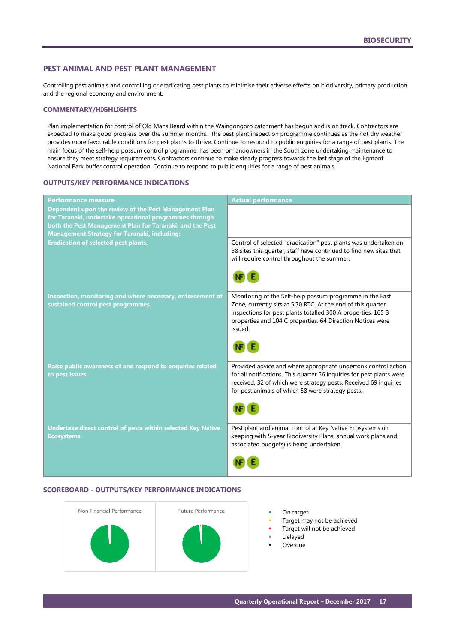# <span id="page-18-0"></span>**PEST ANIMAL AND PEST PLANT MANAGEMENT**

Controlling pest animals and controlling or eradicating pest plants to minimise their adverse effects on biodiversity, primary production and the regional economy and environment.

#### **COMMENTARY/HIGHLIGHTS**

Plan implementation for control of Old Mans Beard within the Waingongoro catchment has begun and is on track. Contractors are expected to make good progress over the summer months. The pest plant inspection programme continues as the hot dry weather provides more favourable conditions for pest plants to thrive. Continue to respond to public enquiries for a range of pest plants. The main focus of the self-help possum control programme, has been on landowners in the South zone undertaking maintenance to ensure they meet strategy requirements. Contractors continue to make steady progress towards the last stage of the Egmont National Park buffer control operation. Continue to respond to public enquiries for a range of pest animals.

#### **OUTPUTS/KEY PERFORMANCE INDICATIONS**

| <b>Performance measure</b>                                                                                                                                                                                                         | <b>Actual performance</b>                                                                                                                                                                                                                                         |
|------------------------------------------------------------------------------------------------------------------------------------------------------------------------------------------------------------------------------------|-------------------------------------------------------------------------------------------------------------------------------------------------------------------------------------------------------------------------------------------------------------------|
| Dependent upon the review of the Pest Management Plan<br>for Taranaki, undertake operational programmes through<br>both the Pest Management Plan for Taranaki: and the Pest<br><b>Management Strategy for Taranaki, including:</b> |                                                                                                                                                                                                                                                                   |
| <b>Eradication of selected pest plants.</b>                                                                                                                                                                                        | Control of selected "eradication" pest plants was undertaken on<br>38 sites this quarter, staff have continued to find new sites that<br>will require control throughout the summer.                                                                              |
|                                                                                                                                                                                                                                    |                                                                                                                                                                                                                                                                   |
| Inspection, monitoring and where necessary, enforcement of<br>sustained control pest programmes.                                                                                                                                   | Monitoring of the Self-help possum programme in the East<br>Zone, currently sits at 5.70 RTC. At the end of this quarter<br>inspections for pest plants totalled 300 A properties, 165 B<br>properties and 104 C properties. 64 Direction Notices were<br>issued. |
| Raise public awareness of and respond to enquiries related<br>to pest issues.                                                                                                                                                      | Provided advice and where appropriate undertook control action<br>for all notifications. This quarter 56 inquiries for pest plants were<br>received, 32 of which were strategy pests. Received 69 inquiries<br>for pest animals of which 58 were strategy pests.  |
| Undertake direct control of pests within selected Key Native<br><b>Ecosystems.</b>                                                                                                                                                 | Pest plant and animal control at Key Native Ecosystems (in<br>keeping with 5-year Biodiversity Plans, annual work plans and<br>associated budgets) is being undertaken.                                                                                           |
|                                                                                                                                                                                                                                    |                                                                                                                                                                                                                                                                   |

#### **SCOREBOARD - OUTPUTS/KEY PERFORMANCE INDICATIONS**



- 
- Target may not be achieved
- Target will not be achieved
- Delayed
- Overdue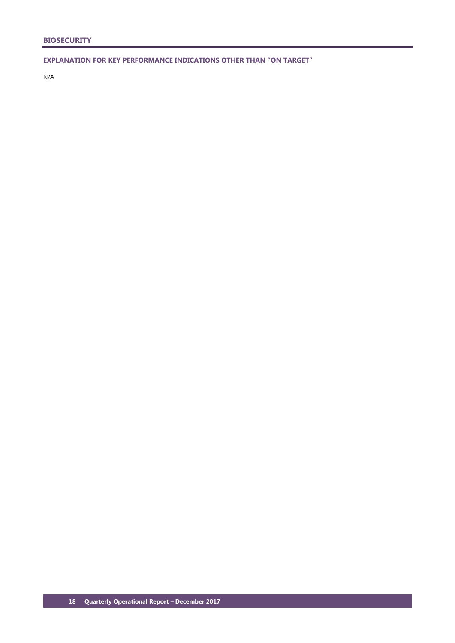**EXPLANATION FOR KEY PERFORMANCE INDICATIONS OTHER THAN "ON TARGET"**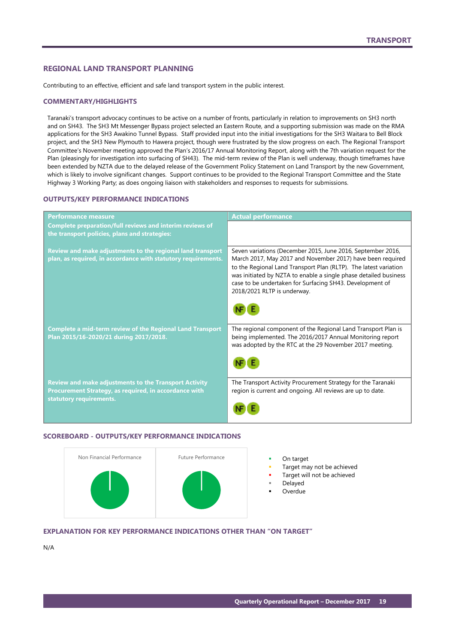# <span id="page-20-0"></span>**REGIONAL LAND TRANSPORT PLANNING**

Contributing to an effective, efficient and safe land transport system in the public interest.

#### **COMMENTARY/HIGHLIGHTS**

Taranaki's transport advocacy continues to be active on a number of fronts, particularly in relation to improvements on SH3 north and on SH43. The SH3 Mt Messenger Bypass project selected an Eastern Route, and a supporting submission was made on the RMA applications for the SH3 Awakino Tunnel Bypass. Staff provided input into the initial investigations for the SH3 Waitara to Bell Block project, and the SH3 New Plymouth to Hawera project, though were frustrated by the slow progress on each. The Regional Transport Committee's November meeting approved the Plan's 2016/17 Annual Monitoring Report, along with the 7th variation request for the Plan (pleasingly for investigation into surfacing of SH43). The mid-term review of the Plan is well underway, though timeframes have been extended by NZTA due to the delayed release of the Government Policy Statement on Land Transport by the new Government, which is likely to involve significant changes. Support continues to be provided to the Regional Transport Committee and the State Highway 3 Working Party; as does ongoing liaison with stakeholders and responses to requests for submissions.

# **OUTPUTS/KEY PERFORMANCE INDICATIONS**

| <b>Performance measure</b>                                                                                                                       | <b>Actual performance</b>                                                                                                                                                                                                                                                                                                                                    |
|--------------------------------------------------------------------------------------------------------------------------------------------------|--------------------------------------------------------------------------------------------------------------------------------------------------------------------------------------------------------------------------------------------------------------------------------------------------------------------------------------------------------------|
| <b>Complete preparation/full reviews and interim reviews of</b><br>the transport policies, plans and strategies:                                 |                                                                                                                                                                                                                                                                                                                                                              |
| Review and make adjustments to the regional land transport<br>plan, as required, in accordance with statutory requirements.                      | Seven variations (December 2015, June 2016, September 2016,<br>March 2017, May 2017 and November 2017) have been required<br>to the Regional Land Transport Plan (RLTP). The latest variation<br>was initiated by NZTA to enable a single phase detailed business<br>case to be undertaken for Surfacing SH43. Development of<br>2018/2021 RLTP is underway. |
| <b>Complete a mid-term review of the Regional Land Transport</b><br>Plan 2015/16-2020/21 during 2017/2018.                                       | The regional component of the Regional Land Transport Plan is<br>being implemented. The 2016/2017 Annual Monitoring report<br>was adopted by the RTC at the 29 November 2017 meeting.                                                                                                                                                                        |
| <b>Review and make adjustments to the Transport Activity</b><br>Procurement Strategy, as required, in accordance with<br>statutory requirements. | The Transport Activity Procurement Strategy for the Taranaki<br>region is current and ongoing. All reviews are up to date.                                                                                                                                                                                                                                   |

## **SCOREBOARD - OUTPUTS/KEY PERFORMANCE INDICATIONS**



- 
- Target may not be achieved
- Target will not be achieved
- Delayed
- Overdue

#### **EXPLANATION FOR KEY PERFORMANCE INDICATIONS OTHER THAN "ON TARGET"**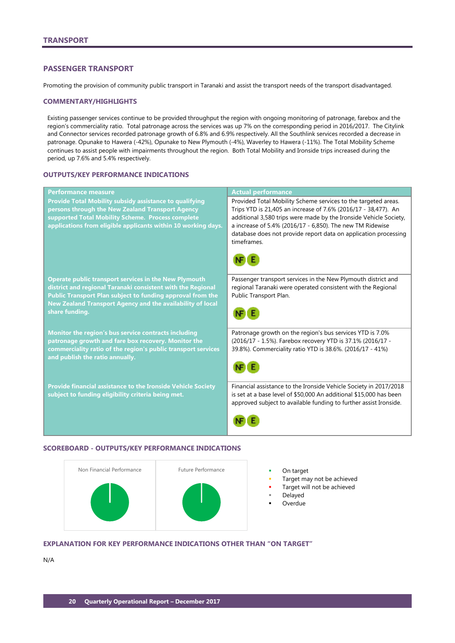# <span id="page-21-0"></span>**PASSENGER TRANSPORT**

Promoting the provision of community public transport in Taranaki and assist the transport needs of the transport disadvantaged.

#### **COMMENTARY/HIGHLIGHTS**

Existing passenger services continue to be provided throughput the region with ongoing monitoring of patronage, farebox and the region's commerciality ratio. Total patronage across the services was up 7% on the corresponding period in 2016/2017. The Citylink and Connector services recorded patronage growth of 6.8% and 6.9% respectively. All the Southlink services recorded a decrease in patronage. Opunake to Hawera (-42%), Opunake to New Plymouth (-4%), Waverley to Hawera (-11%). The Total Mobility Scheme continues to assist people with impairments throughout the region. Both Total Mobility and Ironside trips increased during the period, up 7.6% and 5.4% respectively.

# **OUTPUTS/KEY PERFORMANCE INDICATIONS**

| <b>Performance measure</b>                                                                                                                                                                                                               | <b>Actual performance</b>                                                                                                                                                                                                                                                                                                                            |
|------------------------------------------------------------------------------------------------------------------------------------------------------------------------------------------------------------------------------------------|------------------------------------------------------------------------------------------------------------------------------------------------------------------------------------------------------------------------------------------------------------------------------------------------------------------------------------------------------|
| <b>Provide Total Mobility subsidy assistance to qualifying</b><br>persons through the New Zealand Transport Agency<br>supported Total Mobility Scheme. Process complete<br>applications from eligible applicants within 10 working days. | Provided Total Mobility Scheme services to the targeted areas.<br>Trips YTD is 21,405 an increase of 7.6% (2016/17 - 38,477). An<br>additional 3,580 trips were made by the Ironside Vehicle Society,<br>a increase of 5.4% (2016/17 - 6,850). The new TM Ridewise<br>database does not provide report data on application processing<br>timeframes. |
| Operate public transport services in the New Plymouth                                                                                                                                                                                    | Passenger transport services in the New Plymouth district and                                                                                                                                                                                                                                                                                        |
| district and regional Taranaki consistent with the Regional                                                                                                                                                                              | regional Taranaki were operated consistent with the Regional                                                                                                                                                                                                                                                                                         |
| Public Transport Plan subject to funding approval from the<br>New Zealand Transport Agency and the availability of local                                                                                                                 | Public Transport Plan.                                                                                                                                                                                                                                                                                                                               |
| share funding.                                                                                                                                                                                                                           |                                                                                                                                                                                                                                                                                                                                                      |
| Monitor the region's bus service contracts including                                                                                                                                                                                     | Patronage growth on the region's bus services YTD is 7.0%                                                                                                                                                                                                                                                                                            |
| patronage growth and fare box recovery. Monitor the<br>commerciality ratio of the region's public transport services                                                                                                                     | (2016/17 - 1.5%). Farebox recovery YTD is 37.1% (2016/17 -<br>39.8%). Commerciality ratio YTD is 38.6%. (2016/17 - 41%)                                                                                                                                                                                                                              |
| and publish the ratio annually.                                                                                                                                                                                                          |                                                                                                                                                                                                                                                                                                                                                      |
| <b>Provide financial assistance to the Ironside Vehicle Society</b>                                                                                                                                                                      | Financial assistance to the Ironside Vehicle Society in 2017/2018<br>is set at a base level of \$50,000 An additional \$15,000 has been                                                                                                                                                                                                              |
| subject to funding eligibility criteria being met.                                                                                                                                                                                       | approved subject to available funding to further assist Ironside.                                                                                                                                                                                                                                                                                    |
|                                                                                                                                                                                                                                          |                                                                                                                                                                                                                                                                                                                                                      |

#### **SCOREBOARD - OUTPUTS/KEY PERFORMANCE INDICATIONS**



- 
- Target may not be achieved
- Target will not be achieved
- Delayed
- Overdue

# **EXPLANATION FOR KEY PERFORMANCE INDICATIONS OTHER THAN "ON TARGET"**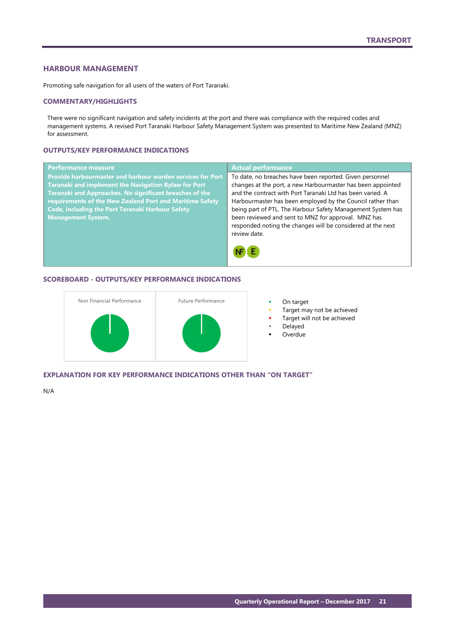# <span id="page-22-0"></span>**HARBOUR MANAGEMENT**

Promoting safe navigation for all users of the waters of Port Taranaki.

#### **COMMENTARY/HIGHLIGHTS**

There were no significant navigation and safety incidents at the port and there was compliance with the required codes and management systems. A revised Port Taranaki Harbour Safety Management System was presented to Maritime New Zealand (MNZ) for assessment.

# **OUTPUTS/KEY PERFORMANCE INDICATIONS**

| <b>Performance measure</b>                                        | <b>Actual performance</b>                                   |
|-------------------------------------------------------------------|-------------------------------------------------------------|
| <b>Provide harbourmaster and harbour warden services for Port</b> | To date, no breaches have been reported. Given personnel    |
| Taranaki and implement the Navigation Bylaw for Port              | changes at the port, a new Harbourmaster has been appointed |
| Taranaki and Approaches. No significant breaches of the           | and the contract with Port Taranaki Ltd has been varied. A  |
| requirements of the New Zealand Port and Maritime Safety          | Harbourmaster has been employed by the Council rather than  |
| <b>Code, including the Port Taranaki Harbour Safety</b>           | being part of PTL. The Harbour Safety Management System has |
| <b>Management System.</b>                                         | been reviewed and sent to MNZ for approval. MNZ has         |
|                                                                   | responded noting the changes will be considered at the next |
|                                                                   | review date.                                                |
|                                                                   |                                                             |

#### **SCOREBOARD - OUTPUTS/KEY PERFORMANCE INDICATIONS**



- Target may not be achieved
- Target will not be achieved
- Delayed
- **Overdue**

# **EXPLANATION FOR KEY PERFORMANCE INDICATIONS OTHER THAN "ON TARGET"**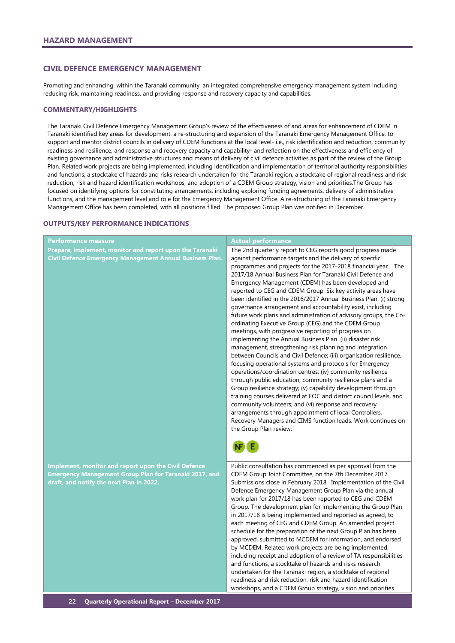#### <span id="page-23-0"></span>**CIVIL DEFENCE EMERGENCY MANAGEMENT**

Promoting and enhancing, within the Taranaki community, an integrated comprehensive emergency management system including reducing risk, maintaining readiness, and providing response and recovery capacity and capabilities.

#### **COMMENTARY/HIGHLIGHTS**

The Taranaki Civil Defence Emergency Management Group's review of the effectiveness of and areas for enhancement of CDEM in Taranaki identified key areas for development: a re-structuring and expansion of the Taranaki Emergency Management Office, to support and mentor district councils in delivery of CDEM functions at the local level- i.e., risk identification and reduction, community readiness and resilience, and response and recovery capacity and capability- and reflection on the effectiveness and efficiency of existing governance and administrative structures and means of delivery of civil defence activities as part of the review of the Group Plan. Related work projects are being implemented, including identification and implementation of territorial authority responsibilities and functions, a stocktake of hazards and risks research undertaken for the Taranaki region, a stocktake of regional readiness and risk reduction, risk and hazard identification workshops, and adoption of a CDEM Group strategy, vision and priorities.The Group has focused on identifying options for constituting arrangements, including exploring funding agreements, delivery of administrative functions, and the management level and role for the Emergency Management Office. A re-structuring of the Taranaki Emergency Management Office has been completed, with all positions filled. The proposed Group Plan was notified in December.

#### **OUTPUTS/KEY PERFORMANCE INDICATIONS**

| Performance measure                                                                                                                                               | <b>Actual performance</b>                                                                                                                                                                                                                                                                                                                                                                                                                                                                                                                                                                                                                                                                                                                                                                                                                                                                                                                                                                                                                                                                                                                                                                                                                                                                                                                                                                                                                 |
|-------------------------------------------------------------------------------------------------------------------------------------------------------------------|-------------------------------------------------------------------------------------------------------------------------------------------------------------------------------------------------------------------------------------------------------------------------------------------------------------------------------------------------------------------------------------------------------------------------------------------------------------------------------------------------------------------------------------------------------------------------------------------------------------------------------------------------------------------------------------------------------------------------------------------------------------------------------------------------------------------------------------------------------------------------------------------------------------------------------------------------------------------------------------------------------------------------------------------------------------------------------------------------------------------------------------------------------------------------------------------------------------------------------------------------------------------------------------------------------------------------------------------------------------------------------------------------------------------------------------------|
| Prepare, implement, monitor and report upon the Taranaki<br>Civil Defence Emergency Management Annual Business Plan.                                              | The 2nd quarterly report to CEG reports good progress made<br>against performance targets and the delivery of specific<br>programmes and projects for the 2017-2018 financial year. The<br>2017/18 Annual Business Plan for Taranaki Civil Defence and<br>Emergency Management (CDEM) has been developed and<br>reported to CEG and CDEM Group. Six key activity areas have<br>been identified in the 2016/2017 Annual Business Plan: (i) strong<br>governance arrangement and accountability exist, including<br>future work plans and administration of advisory groups, the Co-<br>ordinating Executive Group (CEG) and the CDEM Group<br>meetings, with progressive reporting of progress on<br>implementing the Annual Business Plan. (ii) disaster risk<br>management, strengthening risk planning and integration<br>between Councils and Civil Defence; (iii) organisation resilience,<br>focusing operational systems and protocols for Emergency<br>operations/coordination centres; (iv) community resilience<br>through public education, community resilience plans and a<br>Group resilience strategy; (v) capability development through<br>training courses delivered at EOC and district council levels, and<br>community volunteers; and (vi) response and recovery<br>arrangements through appointment of local Controllers,<br>Recovery Managers and CIMS function leads. Work continues on<br>the Group Plan review. |
| <b>Implement, monitor and report upon the Civil Defence</b><br>Emergency Management Group Plan for Taranaki 2017, and<br>draft, and notify the next Plan in 2022. | Public consultation has commenced as per approval from the<br>CDEM Group Joint Committee, on the 7th December 2017.<br>Submissions close in February 2018. Implementation of the Civil<br>Defence Emergency Management Group Plan via the annual<br>work plan for 2017/18 has been reported to CEG and CDEM<br>Group. The development plan for implementing the Group Plan<br>in 2017/18 is being implemented and reported as agreed, to<br>each meeting of CEG and CDEM Group. An amended project<br>schedule for the preparation of the next Group Plan has been<br>approved, submitted to MCDEM for information, and endorsed<br>by MCDEM. Related work projects are being implemented,<br>including receipt and adoption of a review of TA responsibilities<br>and functions, a stocktake of hazards and risks research<br>undertaken for the Taranaki region, a stocktake of regional<br>readiness and risk reduction, risk and hazard identification<br>workshops, and a CDEM Group strategy, vision and priorities                                                                                                                                                                                                                                                                                                                                                                                                                 |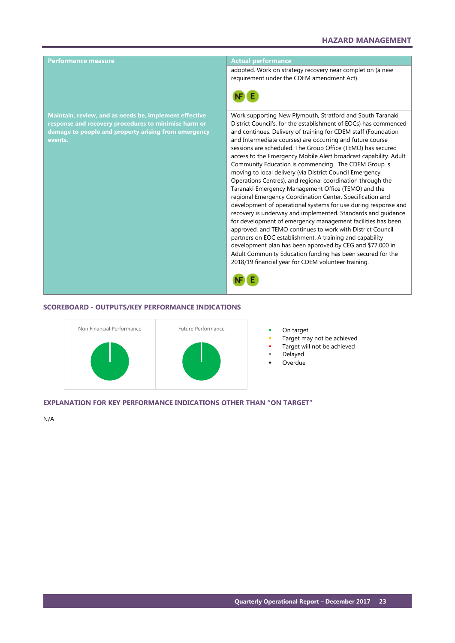

#### **SCOREBOARD - OUTPUTS/KEY PERFORMANCE INDICATIONS**



- 
- Target may not be achieved
- Target will not be achieved
- Delayed
- Overdue

#### **EXPLANATION FOR KEY PERFORMANCE INDICATIONS OTHER THAN "ON TARGET"**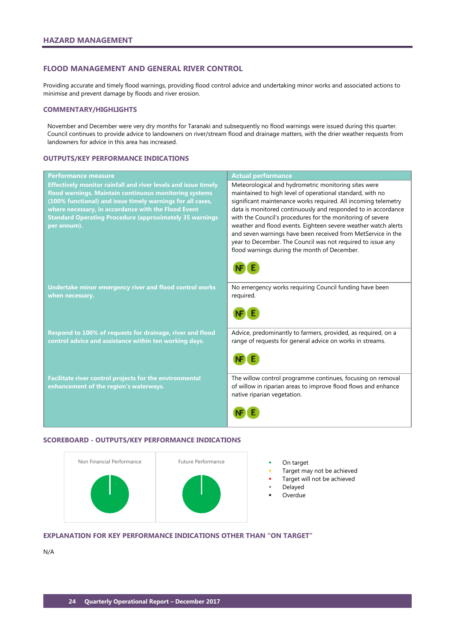#### <span id="page-25-0"></span>**FLOOD MANAGEMENT AND GENERAL RIVER CONTROL**

Providing accurate and timely flood warnings, providing flood control advice and undertaking minor works and associated actions to minimise and prevent damage by floods and river erosion.

#### **COMMENTARY/HIGHLIGHTS**

November and December were very dry months for Taranaki and subsequently no flood warnings were issued during this quarter. Council continues to provide advice to landowners on river/stream flood and drainage matters, with the drier weather requests from landowners for advice in this area has increased.

#### **OUTPUTS/KEY PERFORMANCE INDICATIONS**

| <b>Performance measure</b>                                                                                                                                                                                                                                                                                                            | <b>Actual performance</b>                                                                                                                                                                                                                                                                                                                                                                                                                                                                                                                                           |
|---------------------------------------------------------------------------------------------------------------------------------------------------------------------------------------------------------------------------------------------------------------------------------------------------------------------------------------|---------------------------------------------------------------------------------------------------------------------------------------------------------------------------------------------------------------------------------------------------------------------------------------------------------------------------------------------------------------------------------------------------------------------------------------------------------------------------------------------------------------------------------------------------------------------|
| <b>Effectively monitor rainfall and river levels and issue timely</b><br>flood warnings. Maintain continuous monitoring systems<br>(100% functional) and issue timely warnings for all cases,<br>where necessary, in accordance with the Flood Event<br><b>Standard Operating Procedure (approximately 35 warnings</b><br>per annum). | Meteorological and hydrometric monitoring sites were<br>maintained to high level of operational standard, with no<br>significant maintenance works required. All incoming telemetry<br>data is monitored continuously and responded to in accordance<br>with the Council's procedures for the monitoring of severe<br>weather and flood events. Eighteen severe weather watch alerts<br>and seven warnings have been received from MetService in the<br>year to December. The Council was not required to issue any<br>flood warnings during the month of December. |
| Undertake minor emergency river and flood control works<br>when necessary.                                                                                                                                                                                                                                                            | No emergency works requiring Council funding have been<br>required.                                                                                                                                                                                                                                                                                                                                                                                                                                                                                                 |
| Respond to 100% of requests for drainage, river and flood<br>control advice and assistance within ten working days.                                                                                                                                                                                                                   | Advice, predominantly to farmers, provided, as required, on a<br>range of requests for general advice on works in streams.                                                                                                                                                                                                                                                                                                                                                                                                                                          |
| Facilitate river control projects for the environmental<br>enhancement of the region's waterways.                                                                                                                                                                                                                                     | The willow control programme continues, focusing on removal<br>of willow in riparian areas to improve flood flows and enhance<br>native riparian vegetation.                                                                                                                                                                                                                                                                                                                                                                                                        |

# **SCOREBOARD - OUTPUTS/KEY PERFORMANCE INDICATIONS**



- 
- Target may not be achieved
- Target will not be achieved
- Delayed
- **Overdue**

# **EXPLANATION FOR KEY PERFORMANCE INDICATIONS OTHER THAN "ON TARGET"**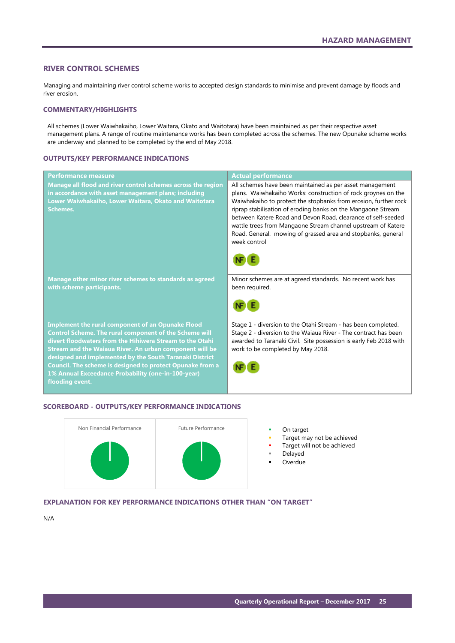#### <span id="page-26-0"></span>**RIVER CONTROL SCHEMES**

Managing and maintaining river control scheme works to accepted design standards to minimise and prevent damage by floods and river erosion.

#### **COMMENTARY/HIGHLIGHTS**

All schemes (Lower Waiwhakaiho, Lower Waitara, Okato and Waitotara) have been maintained as per their respective asset management plans. A range of routine maintenance works has been completed across the schemes. The new Opunake scheme works are underway and planned to be completed by the end of May 2018.

## **OUTPUTS/KEY PERFORMANCE INDICATIONS**

| <b>Performance measure</b>                                                                                                                                                                                                                                                                                                                                                                                                                 | <b>Actual performance</b>                                                                                                                                                                                                                                                                                                                                                                                                                                                    |
|--------------------------------------------------------------------------------------------------------------------------------------------------------------------------------------------------------------------------------------------------------------------------------------------------------------------------------------------------------------------------------------------------------------------------------------------|------------------------------------------------------------------------------------------------------------------------------------------------------------------------------------------------------------------------------------------------------------------------------------------------------------------------------------------------------------------------------------------------------------------------------------------------------------------------------|
| Manage all flood and river control schemes across the region<br>in accordance with asset management plans; including<br>Lower Waiwhakaiho, Lower Waitara, Okato and Waitotara<br><b>Schemes.</b>                                                                                                                                                                                                                                           | All schemes have been maintained as per asset management<br>plans. Waiwhakaiho Works: construction of rock groynes on the<br>Waiwhakaiho to protect the stopbanks from erosion, further rock<br>riprap stabilisation of eroding banks on the Mangaone Stream<br>between Katere Road and Devon Road, clearance of self-seeded<br>wattle trees from Mangaone Stream channel upstream of Katere<br>Road. General: mowing of grassed area and stopbanks, general<br>week control |
|                                                                                                                                                                                                                                                                                                                                                                                                                                            |                                                                                                                                                                                                                                                                                                                                                                                                                                                                              |
| Manage other minor river schemes to standards as agreed<br>with scheme participants.                                                                                                                                                                                                                                                                                                                                                       | Minor schemes are at agreed standards. No recent work has<br>been required.                                                                                                                                                                                                                                                                                                                                                                                                  |
|                                                                                                                                                                                                                                                                                                                                                                                                                                            |                                                                                                                                                                                                                                                                                                                                                                                                                                                                              |
| <b>Implement the rural component of an Opunake Flood</b><br>Control Scheme. The rural component of the Scheme will<br>divert floodwaters from the Hihiwera Stream to the Otahi<br>Stream and the Waiaua River. An urban component will be<br>designed and implemented by the South Taranaki District<br>Council. The scheme is designed to protect Opunake from a<br>1% Annual Exceedance Probability (one-in-100-year)<br>flooding event. | Stage 1 - diversion to the Otahi Stream - has been completed.<br>Stage 2 - diversion to the Waiaua River - The contract has been<br>awarded to Taranaki Civil. Site possession is early Feb 2018 with<br>work to be completed by May 2018.                                                                                                                                                                                                                                   |

#### **SCOREBOARD - OUTPUTS/KEY PERFORMANCE INDICATIONS**



- 
- Target may not be achieved
- Target will not be achieved
- Delayed
- Overdue

# **EXPLANATION FOR KEY PERFORMANCE INDICATIONS OTHER THAN "ON TARGET"**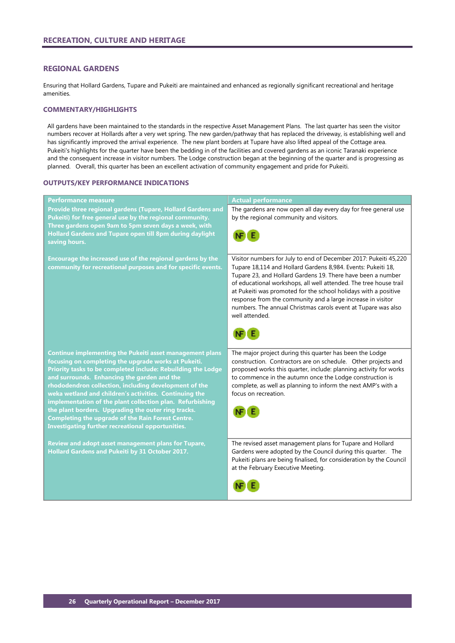# <span id="page-27-0"></span>**REGIONAL GARDENS**

Ensuring that Hollard Gardens, Tupare and Pukeiti are maintained and enhanced as regionally significant recreational and heritage amenities.

#### **COMMENTARY/HIGHLIGHTS**

All gardens have been maintained to the standards in the respective Asset Management Plans. The last quarter has seen the visitor numbers recover at Hollards after a very wet spring. The new garden/pathway that has replaced the driveway, is establishing well and has significantly improved the arrival experience. The new plant borders at Tupare have also lifted appeal of the Cottage area. Pukeiti's highlights for the quarter have been the bedding in of the facilities and covered gardens as an iconic Taranaki experience and the consequent increase in visitor numbers. The Lodge construction began at the beginning of the quarter and is progressing as planned. Overall, this quarter has been an excellent activation of community engagement and pride for Pukeiti.

#### **OUTPUTS/KEY PERFORMANCE INDICATIONS**

| Performance measure                                                                                                                                                                                                                                                                                                                                                                                                                                                                                                                                                                            | <b>Actual performance</b>                                                                                                                                                                                                                                                                                                                                                                                                                                                                 |
|------------------------------------------------------------------------------------------------------------------------------------------------------------------------------------------------------------------------------------------------------------------------------------------------------------------------------------------------------------------------------------------------------------------------------------------------------------------------------------------------------------------------------------------------------------------------------------------------|-------------------------------------------------------------------------------------------------------------------------------------------------------------------------------------------------------------------------------------------------------------------------------------------------------------------------------------------------------------------------------------------------------------------------------------------------------------------------------------------|
| Provide three regional gardens (Tupare, Hollard Gardens and<br>Pukeiti) for free general use by the regional community.<br>Three gardens open 9am to 5pm seven days a week, with                                                                                                                                                                                                                                                                                                                                                                                                               | The gardens are now open all day every day for free general use<br>by the regional community and visitors.                                                                                                                                                                                                                                                                                                                                                                                |
| <b>Hollard Gardens and Tupare open till 8pm during daylight</b><br>saving hours.                                                                                                                                                                                                                                                                                                                                                                                                                                                                                                               |                                                                                                                                                                                                                                                                                                                                                                                                                                                                                           |
| Encourage the increased use of the regional gardens by the<br>community for recreational purposes and for specific events.                                                                                                                                                                                                                                                                                                                                                                                                                                                                     | Visitor numbers for July to end of December 2017: Pukeiti 45,220<br>Tupare 18,114 and Hollard Gardens 8,984. Events: Pukeiti 18,<br>Tupare 23, and Hollard Gardens 19. There have been a number<br>of educational workshops, all well attended. The tree house trail<br>at Pukeiti was promoted for the school holidays with a positive<br>response from the community and a large increase in visitor<br>numbers. The annual Christmas carols event at Tupare was also<br>well attended. |
| <b>Continue implementing the Pukeiti asset management plans</b><br>focusing on completing the upgrade works at Pukeiti.<br>Priority tasks to be completed include: Rebuilding the Lodge<br>and surrounds. Enhancing the garden and the<br>rhododendron collection, including development of the<br>weka wetland and children's activities. Continuing the<br>implementation of the plant collection plan. Refurbishing<br>the plant borders. Upgrading the outer ring tracks.<br><b>Completing the upgrade of the Rain Forest Centre.</b><br>Investigating further recreational opportunities. | The major project during this quarter has been the Lodge<br>construction. Contractors are on schedule. Other projects and<br>proposed works this quarter, include: planning activity for works<br>to commence in the autumn once the Lodge construction is<br>complete, as well as planning to inform the next AMP's with a<br>focus on recreation.                                                                                                                                       |
| Review and adopt asset management plans for Tupare,<br>Hollard Gardens and Pukeiti by 31 October 2017.                                                                                                                                                                                                                                                                                                                                                                                                                                                                                         | The revised asset management plans for Tupare and Hollard<br>Gardens were adopted by the Council during this quarter. The<br>Pukeiti plans are being finalised, for consideration by the Council<br>at the February Executive Meeting.                                                                                                                                                                                                                                                    |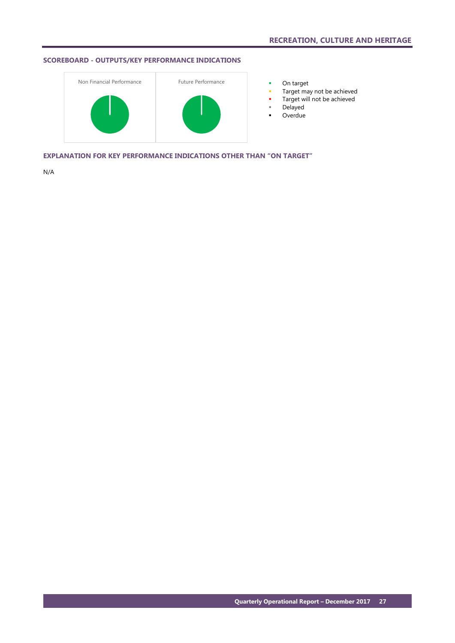# **SCOREBOARD - OUTPUTS/KEY PERFORMANCE INDICATIONS**



- 
- **Target may not be achieved**
- **Target will not be achieved**
- Delayed
- **-** Overdue

**EXPLANATION FOR KEY PERFORMANCE INDICATIONS OTHER THAN "ON TARGET"**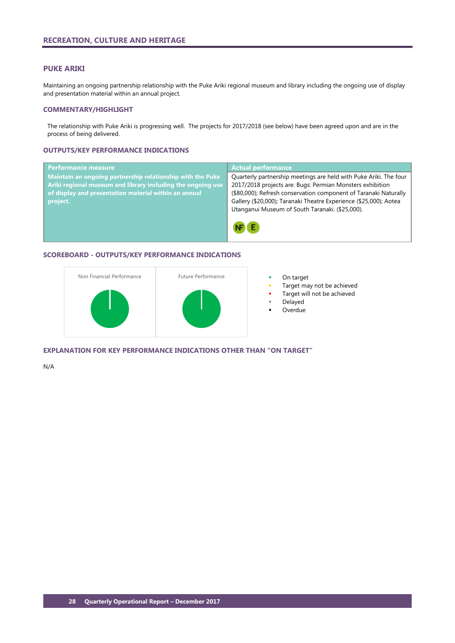#### <span id="page-29-0"></span>**PUKE ARIKI**

Maintaining an ongoing partnership relationship with the Puke Ariki regional museum and library including the ongoing use of display and presentation material within an annual project.

#### **COMMENTARY/HIGHLIGHT**

The relationship with Puke Ariki is progressing well. The projects for 2017/2018 (see below) have been agreed upon and are in the process of being delivered.

#### **OUTPUTS/KEY PERFORMANCE INDICATIONS**

| Performance measure                                         | <b>Actual performance</b>                                         |
|-------------------------------------------------------------|-------------------------------------------------------------------|
| Maintain an ongoing partnership relationship with the Puke  | Quarterly partnership meetings are held with Puke Ariki. The four |
| Ariki regional museum and library including the ongoing use | 2017/2018 projects are: Bugs: Permian Monsters exhibition         |
| of display and presentation material within an annual       | (\$80,000); Refresh conservation component of Taranaki Naturally  |
| project.                                                    | Gallery (\$20,000); Taranaki Theatre Experience (\$25,000); Aotea |
|                                                             | Utanganui Museum of South Taranaki. (\$25,000).                   |
|                                                             |                                                                   |

# **SCOREBOARD - OUTPUTS/KEY PERFORMANCE INDICATIONS**



- 
- Target may not be achieved
- Target will not be achieved
- Delayed
- Overdue

**EXPLANATION FOR KEY PERFORMANCE INDICATIONS OTHER THAN "ON TARGET"**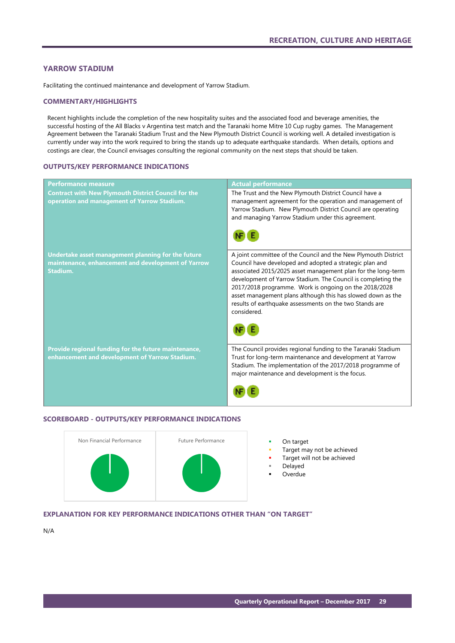# <span id="page-30-0"></span>**YARROW STADIUM**

Facilitating the continued maintenance and development of Yarrow Stadium.

#### **COMMENTARY/HIGHLIGHTS**

Recent highlights include the completion of the new hospitality suites and the associated food and beverage amenities, the successful hosting of the All Blacks v Argentina test match and the Taranaki home Mitre 10 Cup rugby games. The Management Agreement between the Taranaki Stadium Trust and the New Plymouth District Council is working well. A detailed investigation is currently under way into the work required to bring the stands up to adequate earthquake standards. When details, options and costings are clear, the Council envisages consulting the regional community on the next steps that should be taken.

#### **OUTPUTS/KEY PERFORMANCE INDICATIONS**

| <b>Performance measure</b>                                                                                           | <b>Actual performance</b>                                                                                                                                                                                                                                                                                                                                                                                                                                   |
|----------------------------------------------------------------------------------------------------------------------|-------------------------------------------------------------------------------------------------------------------------------------------------------------------------------------------------------------------------------------------------------------------------------------------------------------------------------------------------------------------------------------------------------------------------------------------------------------|
| <b>Contract with New Plymouth District Council for the</b><br>operation and management of Yarrow Stadium.            | The Trust and the New Plymouth District Council have a<br>management agreement for the operation and management of<br>Yarrow Stadium. New Plymouth District Council are operating<br>and managing Yarrow Stadium under this agreement.                                                                                                                                                                                                                      |
| Undertake asset management planning for the future<br>maintenance, enhancement and development of Yarrow<br>Stadium. | A joint committee of the Council and the New Plymouth District<br>Council have developed and adopted a strategic plan and<br>associated 2015/2025 asset management plan for the long-term<br>development of Yarrow Stadium. The Council is completing the<br>2017/2018 programme. Work is ongoing on the 2018/2028<br>asset management plans although this has slowed down as the<br>results of earthquake assessments on the two Stands are<br>considered. |
| Provide regional funding for the future maintenance,<br>enhancement and development of Yarrow Stadium.               | The Council provides regional funding to the Taranaki Stadium<br>Trust for long-term maintenance and development at Yarrow<br>Stadium. The implementation of the 2017/2018 programme of<br>major maintenance and development is the focus.                                                                                                                                                                                                                  |

#### **SCOREBOARD - OUTPUTS/KEY PERFORMANCE INDICATIONS**



- 
- Target may not be achieved
- Target will not be achieved
- Delayed
- **Overdue**

# **EXPLANATION FOR KEY PERFORMANCE INDICATIONS OTHER THAN "ON TARGET"**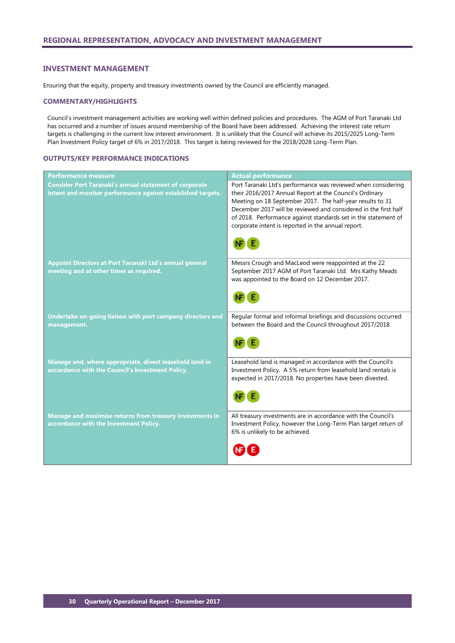#### <span id="page-31-0"></span>**INVESTMENT MANAGEMENT**

Ensuring that the equity, property and treasury investments owned by the Council are efficiently managed.

#### **COMMENTARY/HIGHLIGHTS**

Council's investment management activities are working well within defined policies and procedures. The AGM of Port Taranaki Ltd has occurred and a number of issues around membership of the Board have been addressed. Achieving the interest rate return targets is challenging in the current low interest environment. It is unlikely that the Council will achieve its 2015/2025 Long-Term Plan Investment Policy target of 6% in 2017/2018. This target is being reviewed for the 2018/2028 Long-Term Plan.

## **OUTPUTS/KEY PERFORMANCE INDICATIONS**

| <b>Performance measure</b>                                                                                                   | <b>Actual performance</b>                                                                                                                                                                                                                                                                                                                                                        |
|------------------------------------------------------------------------------------------------------------------------------|----------------------------------------------------------------------------------------------------------------------------------------------------------------------------------------------------------------------------------------------------------------------------------------------------------------------------------------------------------------------------------|
| <b>Consider Port Taranaki's annual statement of corporate</b><br>intent and monitor performance against established targets. | Port Taranaki Ltd's performance was reviewed when considering<br>their 2016/2017 Annual Report at the Council's Ordinary<br>Meeting on 18 September 2017. The half-year results to 31<br>December 2017 will be reviewed and considered in the first half<br>of 2018. Performance against standards set in the statement of<br>corporate intent is reported in the annual report. |
| Appoint Directors at Port Taranaki Ltd's annual general<br>meeting and at other times as required.                           | Messrs Crough and MacLeod were reappointed at the 22<br>September 2017 AGM of Port Taranaki Ltd. Mrs Kathy Meads<br>was appointed to the Board on 12 December 2017.                                                                                                                                                                                                              |
| Undertake on-going liaison with port company directors and<br>management.                                                    | Regular formal and informal briefings and discussions occurred<br>between the Board and the Council throughout 2017/2018.                                                                                                                                                                                                                                                        |
| Manage and, where appropriate, divest leasehold land in<br>accordance with the Council's Investment Policy.                  | Leasehold land is managed in accordance with the Council's<br>Investment Policy. A 5% return from leasehold land rentals is<br>expected in 2017/2018. No properties have been divested.                                                                                                                                                                                          |
| Manage and maximise returns from treasury investments in<br>accordance with the Investment Policy.                           | All treasury investments are in accordance with the Council's<br>Investment Policy, however the Long-Term Plan target return of<br>6% is unlikely to be achieved.                                                                                                                                                                                                                |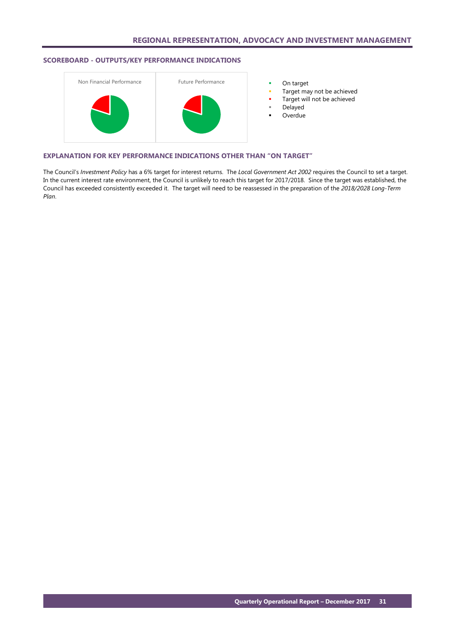# **SCOREBOARD - OUTPUTS/KEY PERFORMANCE INDICATIONS**



- 
- Target may not be achieved
- Target will not be achieved
- Delayed
- Overdue

#### **EXPLANATION FOR KEY PERFORMANCE INDICATIONS OTHER THAN "ON TARGET"**

The Council's *Investment Policy* has a 6% target for interest returns. The *Local Government Act 2002* requires the Council to set a target. In the current interest rate environment, the Council is unlikely to reach this target for 2017/2018. Since the target was established, the Council has exceeded consistently exceeded it. The target will need to be reassessed in the preparation of the *2018/2028 Long-Term Plan*.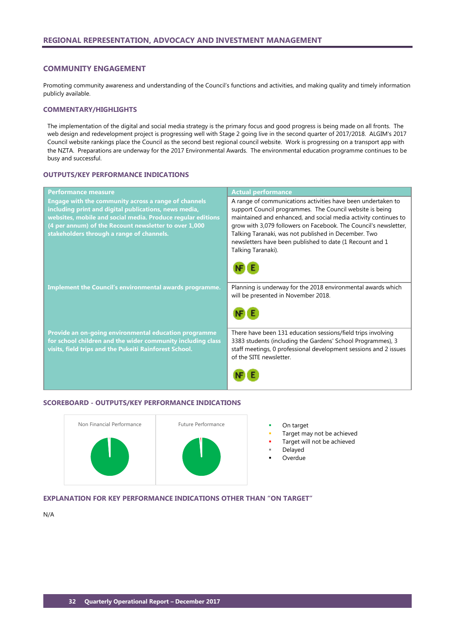#### <span id="page-33-0"></span>**COMMUNITY ENGAGEMENT**

Promoting community awareness and understanding of the Council's functions and activities, and making quality and timely information publicly available.

#### **COMMENTARY/HIGHLIGHTS**

The implementation of the digital and social media strategy is the primary focus and good progress is being made on all fronts. The web design and redevelopment project is progressing well with Stage 2 going live in the second quarter of 2017/2018. ALGIM's 2017 Council website rankings place the Council as the second best regional council website. Work is progressing on a transport app with the NZTA. Preparations are underway for the 2017 Environmental Awards. The environmental education programme continues to be busy and successful.

# **OUTPUTS/KEY PERFORMANCE INDICATIONS**

| <b>Performance measure</b>                                  | <b>Actual performance</b>                                        |
|-------------------------------------------------------------|------------------------------------------------------------------|
| Engage with the community across a range of channels        | A range of communications activities have been undertaken to     |
| including print and digital publications, news media,       | support Council programmes. The Council website is being         |
| websites, mobile and social media. Produce regular editions | maintained and enhanced, and social media activity continues to  |
| (4 per annum) of the Recount newsletter to over 1,000       | grow with 3,079 followers on Facebook. The Council's newsletter, |
| stakeholders through a range of channels.                   | Talking Taranaki, was not published in December. Two             |
|                                                             | newsletters have been published to date (1 Recount and 1         |
|                                                             | Talking Taranaki).                                               |
|                                                             |                                                                  |
| Implement the Council's environmental awards programme.     | Planning is underway for the 2018 environmental awards which     |
|                                                             | will be presented in November 2018.                              |
|                                                             |                                                                  |
|                                                             |                                                                  |
| Provide an on-going environmental education programme       | There have been 131 education sessions/field trips involving     |
| for school children and the wider community including class | 3383 students (including the Gardens' School Programmes), 3      |
| visits, field trips and the Pukeiti Rainforest School.      | staff meetings, 0 professional development sessions and 2 issues |
|                                                             | of the SITE newsletter.                                          |
|                                                             |                                                                  |

#### **SCOREBOARD - OUTPUTS/KEY PERFORMANCE INDICATIONS**



- 
- Target may not be achieved
- Target will not be achieved
- Delayed
- Overdue

# **EXPLANATION FOR KEY PERFORMANCE INDICATIONS OTHER THAN "ON TARGET"**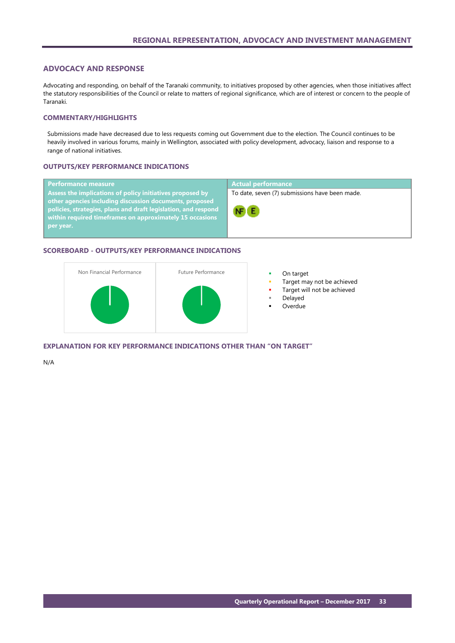# <span id="page-34-0"></span>**ADVOCACY AND RESPONSE**

Advocating and responding, on behalf of the Taranaki community, to initiatives proposed by other agencies, when those initiatives affect the statutory responsibilities of the Council or relate to matters of regional significance, which are of interest or concern to the people of Taranaki.

# **COMMENTARY/HIGHLIGHTS**

Submissions made have decreased due to less requests coming out Government due to the election. The Council continues to be heavily involved in various forums, mainly in Wellington, associated with policy development, advocacy, liaison and response to a range of national initiatives.

#### **OUTPUTS/KEY PERFORMANCE INDICATIONS**

| <b>Performance measure</b>                                                                                                                                                                         | <b>Actual performance</b>                      |
|----------------------------------------------------------------------------------------------------------------------------------------------------------------------------------------------------|------------------------------------------------|
| Assess the implications of policy initiatives proposed by                                                                                                                                          | To date, seven (7) submissions have been made. |
| other agencies including discussion documents, proposed<br>policies, strategies, plans and draft legislation, and respond<br>within required timeframes on approximately 15 occasions<br>per year. | $NF$ $E$                                       |

#### **SCOREBOARD - OUTPUTS/KEY PERFORMANCE INDICATIONS**



- 
- Target may not be achieved
- Target will not be achieved
- Delayed
- **Overdue**

# **EXPLANATION FOR KEY PERFORMANCE INDICATIONS OTHER THAN "ON TARGET"**